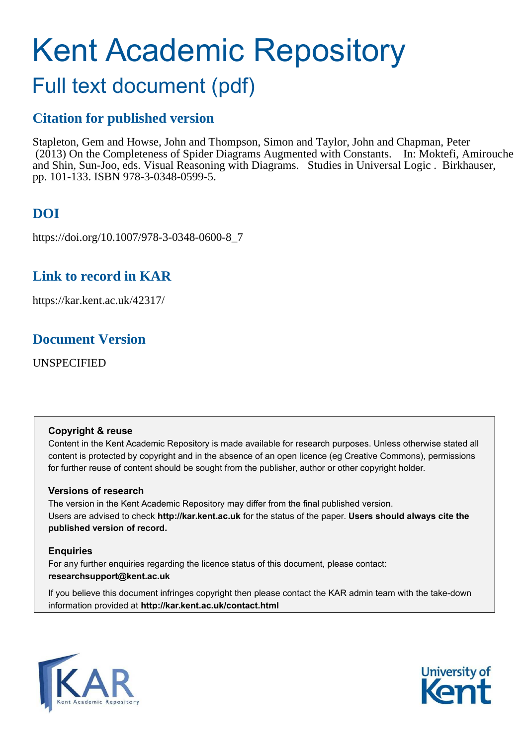# Kent Academic Repository

# Full text document (pdf)

# **Citation for published version**

Stapleton, Gem and Howse, John and Thompson, Simon and Taylor, John and Chapman, Peter (2013) On the Completeness of Spider Diagrams Augmented with Constants. In: Moktefi, Amirouche and Shin, Sun-Joo, eds. Visual Reasoning with Diagrams. Studies in Universal Logic . Birkhauser, pp. 101-133. ISBN 978-3-0348-0599-5.

# **DOI**

https://doi.org/10.1007/978-3-0348-0600-8\_7

## **Link to record in KAR**

https://kar.kent.ac.uk/42317/

## **Document Version**

UNSPECIFIED

## **Copyright & reuse**

Content in the Kent Academic Repository is made available for research purposes. Unless otherwise stated all content is protected by copyright and in the absence of an open licence (eg Creative Commons), permissions for further reuse of content should be sought from the publisher, author or other copyright holder.

## **Versions of research**

The version in the Kent Academic Repository may differ from the final published version. Users are advised to check **http://kar.kent.ac.uk** for the status of the paper. **Users should always cite the published version of record.**

## **Enquiries**

For any further enquiries regarding the licence status of this document, please contact: **researchsupport@kent.ac.uk**

If you believe this document infringes copyright then please contact the KAR admin team with the take-down information provided at **http://kar.kent.ac.uk/contact.html**



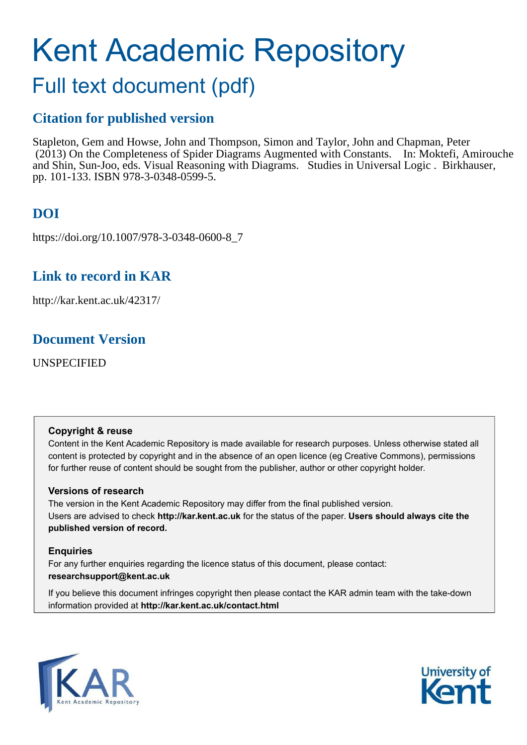# <span id="page-1-0"></span>Kent Academic Repository

# <span id="page-1-1"></span>Full text document (pdf)

# **Citation for published version**

Stapleton, Gem and Howse, John and Thompson, Simon and Taylor, John and Chapman, Peter (2013) On the Completeness of Spider Diagrams Augmented with Constants. In: Moktefi, Amirouche and Shin, Sun-Joo, eds. Visual Reasoning with Diagrams. Studies in Universal Logic . Birkhauser, pp. 101-133. ISBN 978-3-0348-0599-5.

# **DOI**

https://doi.org/10.1007/978-3-0348-0600-8\_7

## **Link to record in KAR**

http://kar.kent.ac.uk/42317/

## **Document Version**

UNSPECIFIED

## **Copyright & reuse**

Content in the Kent Academic Repository is made available for research purposes. Unless otherwise stated all content is protected by copyright and in the absence of an open licence (eg Creative Commons), permissions for further reuse of content should be sought from the publisher, author or other copyright holder.

## **Versions of research**

The version in the Kent Academic Repository may differ from the final published version. Users are advised to check **http://kar.kent.ac.uk** for the status of the paper. **Users should always cite the published version of record.**

## **Enquiries**

For any further enquiries regarding the licence status of this document, please contact: **researchsupport@kent.ac.uk**

If you believe this document infringes copyright then please contact the KAR admin team with the take-down information provided at **http://kar.kent.ac.uk/contact.html**



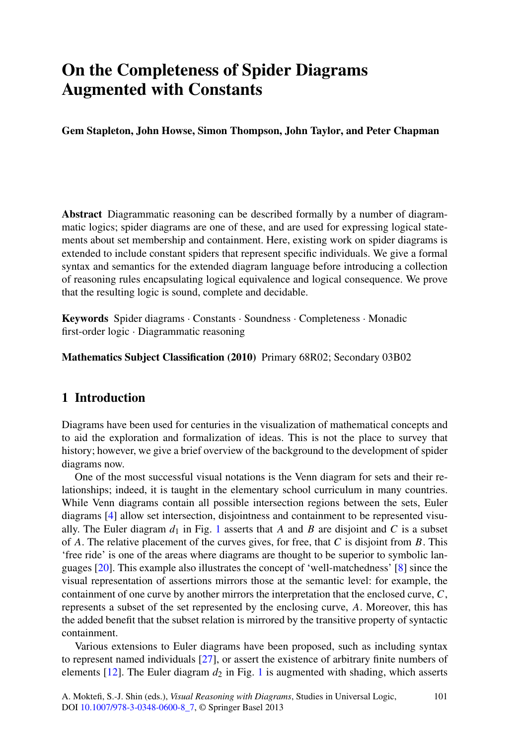## **On the Completeness of Spider Diagrams Augmented with Constants**

**Gem Stapleton, John Howse, Simon Thompson, John Taylor, and Peter Chapman**

<span id="page-2-0"></span>**Abstract** Diagrammatic reasoning can be described formally by a number of diagrammatic logics; spider diagrams are one of these, and are used for expressing logical statements about set membership and containment. Here, existing work on spider diagrams is extended to include constant spiders that represent specific individuals. We give a formal syntax and semantics for the extended diagram language before introducing a collection of reasoning rules encapsulating logical equivalence and logical consequence. We prove that the resulting logic is sound, complete and decidable.

**Keywords** Spider diagrams · Constants · Soundness · Completeness · Monadic first-order logic · Diagrammatic reasoning

**Mathematics Subject Classification (2010)** Primary 68R02; Secondary 03B02

#### **1 Introduction**

Diagrams have been used for centuries in the visualization of mathematical concepts and to aid the exploration and formalization of ideas. This is not the place to survey that history; however, we give a brief overview of the background to the development of spider diagrams now.

One of the most successful visual notations is the Venn diagram for sets and their relationships; indeed, it is taught in the elementary school curriculum in many countries. While Venn diagrams contain all possible intersection regions between the sets, Euler diagrams [\[4](#page-31-0)] allow set intersection, disjointness and containment to be represented visually. The Euler diagram  $d_1$  $d_1$  in Fig. 1 asserts that A and B are disjoint and C is a subset of A. The relative placement of the curves gives, for free, that  $C$  is disjoint from  $B$ . This 'free ride' is one of the areas where diagrams are thought to be superior to symbolic languages [[20\]](#page-31-1). This example also illustrates the concept of 'well-matchedness' [\[8](#page-31-2)] since the visual representation of assertions mirrors those at the semantic level: for example, the containment of one curve by another mirrors the interpretation that the enclosed curve,  $C$ , represents a subset of the set represented by the enclosing curve, A. Moreover, this has the added benefit that the subset relation is mirrored by the transitive property of syntactic containment.

<span id="page-2-1"></span>Various extensions to Euler diagrams have been proposed, such as including syntax to represent named individuals [[27](#page-32-0)], or assert the existence of arbitrary finite numbers of elements  $[12]$  $[12]$ . The Euler diagram  $d_2$  in Fig. [1](#page-1-0) is augmented with shading, which asserts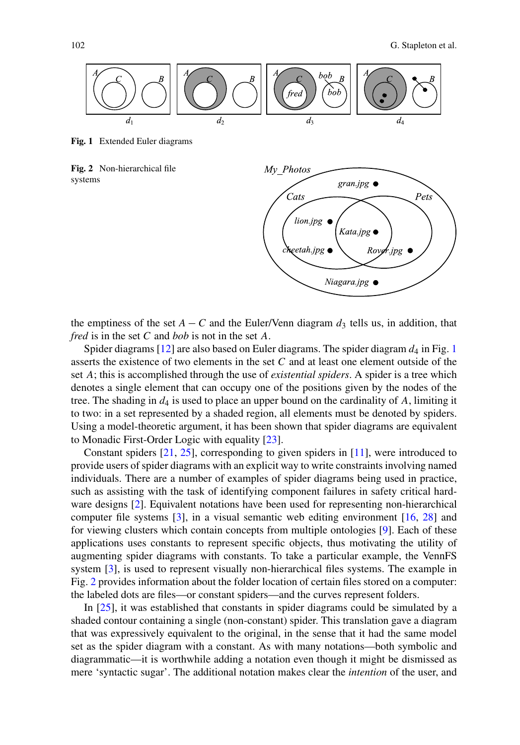<span id="page-3-0"></span>

**Fig. 1** Extended Euler diagrams

**Fig. 2** Non-hierarchical file systems



the emptiness of the set  $A - C$  and the Euler/Venn diagram  $d_3$  tells us, in addition, that *fred* is in the set C and *bob* is not in the set A.

Spider diagrams [\[12](#page-31-3)] are also based on Euler diagrams. The spider diagram  $d_4$  in Fig. [1](#page-1-0) asserts the existence of two elements in the set  $C$  and at least one element outside of the set A; this is accomplished through the use of *existential spiders*. A spider is a tree which denotes a single element that can occupy one of the positions given by the nodes of the tree. The shading in  $d_4$  is used to place an upper bound on the cardinality of A, limiting it to two: in a set represented by a shaded region, all elements must be denoted by spiders. Using a model-theoretic argument, it has been shown that spider diagrams are equivalent to Monadic First-Order Logic with equality [\[23](#page-31-4)].

<span id="page-3-1"></span>Constant spiders [\[21](#page-31-5), [25\]](#page-32-1), corresponding to given spiders in [\[11](#page-31-6)], were introduced to provide users of spider diagrams with an explicit way to write constraints involving named individuals. There are a number of examples of spider diagrams being used in practice, such as assisting with the task of identifying component failures in safety critical hardware designs [[2\]](#page-31-7). Equivalent notations have been used for representing non-hierarchical computer file systems [[3\]](#page-31-8), in a visual semantic web editing environment [[16,](#page-31-9) [28](#page-32-2)] and for viewing clusters which contain concepts from multiple ontologies [\[9](#page-31-10)]. Each of these applications uses constants to represent specific objects, thus motivating the utility of augmenting spider diagrams with constants. To take a particular example, the VennFS system [\[3](#page-31-8)], is used to represent visually non-hierarchical files systems. The example in Fig. [2](#page-1-1) provides information about the folder location of certain files stored on a computer: the labeled dots are files—or constant spiders—and the curves represent folders.

In [[25\]](#page-32-1), it was established that constants in spider diagrams could be simulated by a shaded contour containing a single (non-constant) spider. This translation gave a diagram that was expressively equivalent to the original, in the sense that it had the same model set as the spider diagram with a constant. As with many notations—both symbolic and diagrammatic—it is worthwhile adding a notation even though it might be dismissed as mere 'syntactic sugar'. The additional notation makes clear the *intention* of the user, and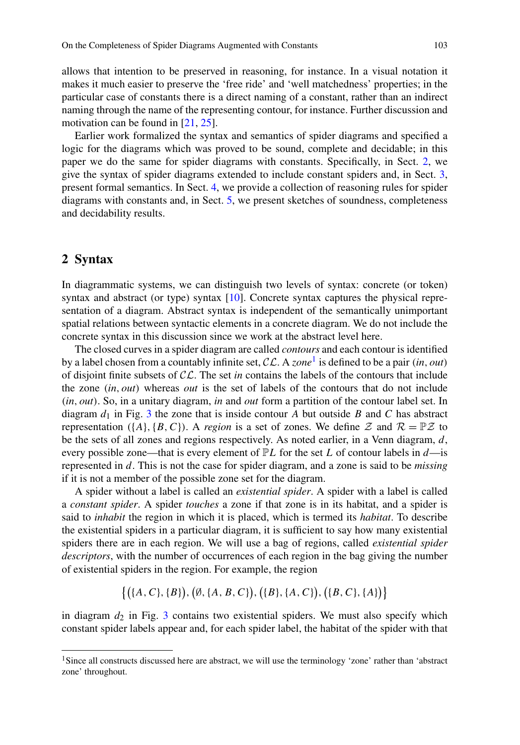<span id="page-4-0"></span>allows that intention to be preserved in reasoning, for instance. In a visual notation it makes it much easier to preserve the 'free ride' and 'well matchedness' properties; in the particular case of constants there is a direct naming of a constant, rather than an indirect naming through the name of the representing contour, for instance. Further discussion and motivation can be found in [\[21](#page-31-5), [25](#page-32-1)].

Earlier work formalized the syntax and semantics of spider diagrams and specified a logic for the diagrams which was proved to be sound, complete and decidable; in this paper we do the same for spider diagrams with constants. Specifically, in Sect. [2](#page-2-0), we give the syntax of spider diagrams extended to include constant spiders and, in Sect. [3,](#page-6-0) present formal semantics. In Sect. [4,](#page-9-0) we provide a collection of reasoning rules for spider diagrams with constants and, in Sect. [5](#page-17-0), we present sketches of soundness, completeness and decidability results.

#### **2 Syntax**

In diagrammatic systems, we can distinguish two levels of syntax: concrete (or token) syntax and abstract (or type) syntax [\[10](#page-31-11)]. Concrete syntax captures the physical representation of a diagram. Abstract syntax is independent of the semantically unimportant spatial relations between syntactic elements in a concrete diagram. We do not include the concrete syntax in this discussion since we work at the abstract level here.

The closed curves in a spider diagram are called *contours* and each contour is identified by a label chosen from a countably infinite set, CL. A *zone*[1](#page-2-1) is defined to be a pair (*in*, *out*) of disjoint finite subsets of CL. The set *in* contains the labels of the contours that include the zone (*in*, *out*) whereas *out* is the set of labels of the contours that do not include (*in*, *out*). So, in a unitary diagram, *in* and *out* form a partition of the contour label set. In diagram  $d_1$  in Fig. [3](#page-3-0) the zone that is inside contour A but outside B and C has abstract representation ( $\{A\}, \{B, C\}$ ). A *region* is a set of zones. We define  $\mathcal Z$  and  $\mathcal R = \mathbb P\mathcal Z$  to be the sets of all zones and regions respectively. As noted earlier, in a Venn diagram,  $d$ , every possible zone—that is every element of  $PL$  for the set L of contour labels in  $d$ —is represented in d. This is not the case for spider diagram, and a zone is said to be *missing* if it is not a member of the possible zone set for the diagram.

<span id="page-4-1"></span>A spider without a label is called an *existential spider*. A spider with a label is called a *constant spider*. A spider *touches* a zone if that zone is in its habitat, and a spider is said to *inhabit* the region in which it is placed, which is termed its *habitat*. To describe the existential spiders in a particular diagram, it is sufficient to say how many existential spiders there are in each region. We will use a bag of regions, called *existential spider descriptors*, with the number of occurrences of each region in the bag giving the number of existential spiders in the region. For example, the region

 $\{(\{A, C\}, \{B\}), (\emptyset, \{A, B, C\}), (\{B\}, \{A, C\}), (\{B, C\}, \{A\})\}\$ 

in diagram  $d_2$  in Fig. [3](#page-3-0) contains two existential spiders. We must also specify which constant spider labels appear and, for each spider label, the habitat of the spider with that

<sup>&</sup>lt;sup>1</sup>Since all constructs discussed here are abstract, we will use the terminology 'zone' rather than 'abstract zone' throughout.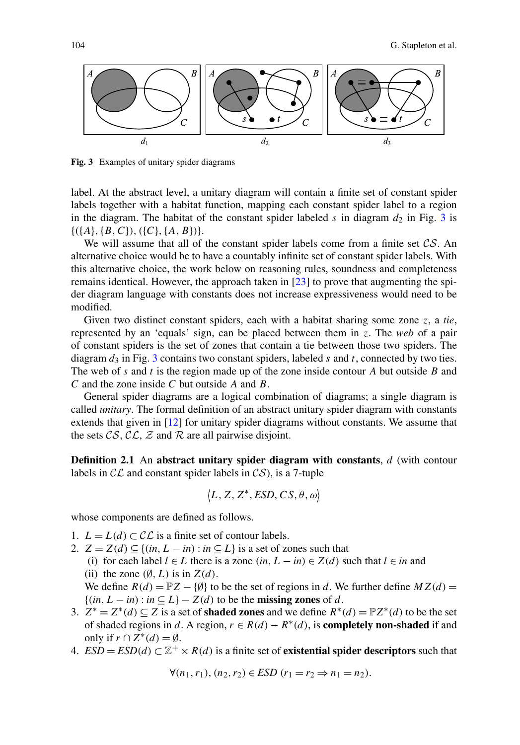<span id="page-5-0"></span>

**Fig. 3** Examples of unitary spider diagrams

label. At the abstract level, a unitary diagram will contain a finite set of constant spider labels together with a habitat function, mapping each constant spider label to a region in the diagram. The habitat of the constant spider labeled  $s$  in diagram  $d_2$  in Fig. [3](#page-3-0) is  $\{(\{A\}, \{B, C\}), (\{C\}, \{A, B\})\}.$ 

We will assume that all of the constant spider labels come from a finite set  $\mathcal{CS}$ . An alternative choice would be to have a countably infinite set of constant spider labels. With this alternative choice, the work below on reasoning rules, soundness and completeness remains identical. However, the approach taken in [\[23](#page-31-4)] to prove that augmenting the spider diagram language with constants does not increase expressiveness would need to be modified.

Given two distinct constant spiders, each with a habitat sharing some zone z, a *tie*, represented by an 'equals' sign, can be placed between them in z. The *web* of a pair of constant spiders is the set of zones that contain a tie between those two spiders. The diagram  $d_3$  $d_3$  in Fig. 3 contains two constant spiders, labeled s and t, connected by two ties. The web of s and t is the region made up of the zone inside contour A but outside B and C and the zone inside C but outside A and B.

General spider diagrams are a logical combination of diagrams; a single diagram is called *unitary*. The formal definition of an abstract unitary spider diagram with constants extends that given in [[12\]](#page-31-3) for unitary spider diagrams without constants. We assume that the sets  $\mathcal{CS}, \mathcal{CL}, \mathcal{Z}$  and  $\mathcal{R}$  are all pairwise disjoint.

**Definition 2.1** An **abstract unitary spider diagram with constants**, d (with contour labels in  $CL$  and constant spider labels in  $CS$ ), is a 7-tuple

$$
\langle L, Z, Z^*, ESD, CS, \theta, \omega \rangle
$$

whose components are defined as follows.

- 1.  $L = L(d) \subset C\mathcal{L}$  is a finite set of contour labels.
- 2.  $Z = Z(d) \subseteq \{(in, L in) : in \subseteq L\}$  is a set of zones such that
	- (i) for each label  $l \in L$  there is a zone  $(in, L in) \in Z(d)$  such that  $l \in in$  and (ii) the zone  $(\emptyset, L)$  is in  $Z(d)$ .
	- We define  $R(d) = \mathbb{P}Z \{\emptyset\}$  to be the set of regions in d. We further define  $MZ(d)$  $\{(in, L - in) : in \subseteq L\} - Z(d)$  to be the **missing zones** of d.
- 3.  $Z^* = Z^*(d) \subseteq Z$  is a set of **shaded zones** and we define  $R^*(d) = \mathbb{P}Z^*(d)$  to be the set of shaded regions in d. A region,  $r \in R(d) - R^*(d)$ , is **completely non-shaded** if and only if  $r \cap Z^*(d) = \emptyset$ .
- 4.  $ESD = ESD(d) \subset \mathbb{Z}^+ \times R(d)$  is a finite set of **existential spider descriptors** such that

$$
\forall (n_1, r_1), (n_2, r_2) \in ESD \ (r_1 = r_2 \Rightarrow n_1 = n_2).
$$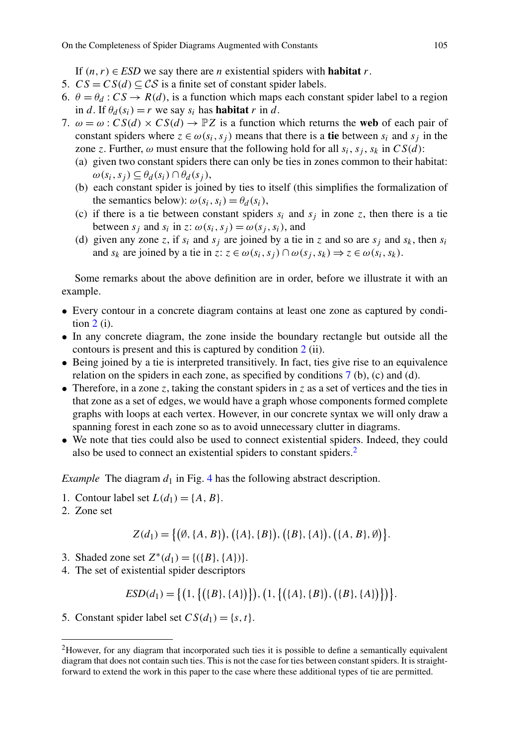If  $(n, r) \in ESD$  we say there are *n* existential spiders with **habitat** *r*.

- 5.  $CS = CS(d) \subseteq CS$  is a finite set of constant spider labels.
- 6.  $\theta = \theta_d : CS \to R(d)$ , is a function which maps each constant spider label to a region in d. If  $\theta_d(s_i) = r$  we say  $s_i$  has **habitat** r in d.
- 7.  $\omega = \omega$ :  $CS(d) \times CS(d) \rightarrow \mathbb{P}Z$  is a function which returns the **web** of each pair of constant spiders where  $z \in \omega(s_i, s_j)$  means that there is a **tie** between  $s_i$  and  $s_j$  in the zone z. Further,  $\omega$  must ensure that the following hold for all  $s_i$ ,  $s_j$ ,  $s_k$  in  $CS(d)$ :
	- (a) given two constant spiders there can only be ties in zones common to their habitat:  $\omega(s_i, s_j) \subseteq \theta_d(s_i) \cap \theta_d(s_j),$
	- (b) each constant spider is joined by ties to itself (this simplifies the formalization of the semantics below):  $\omega(s_i, s_i) = \theta_d(s_i)$ ,
	- (c) if there is a tie between constant spiders  $s_i$  and  $s_j$  in zone z, then there is a tie between  $s_j$  and  $s_i$  in z:  $\omega(s_i, s_j) = \omega(s_j, s_i)$ , and
	- (d) given any zone z, if  $s_i$  and  $s_j$  are joined by a tie in z and so are  $s_i$  and  $s_k$ , then  $s_i$ and  $s_k$  are joined by a tie in  $z: z \in \omega(s_i, s_j) \cap \omega(s_i, s_k) \Rightarrow z \in \omega(s_i, s_k)$ .

Some remarks about the above definition are in order, before we illustrate it with an example.

- Every contour in a concrete diagram contains at least one zone as captured by condition  $2(i)$  $2(i)$ .
- <span id="page-6-0"></span>• In any concrete diagram, the zone inside the boundary rectangle but outside all the contours is present and this is captured by condition [2](#page-3-1) (ii).
- Being joined by a tie is interpreted transitively. In fact, ties give rise to an equivalence relation on the spiders in each zone, as specified by conditions [7](#page-4-0) (b), (c) and (d).
- Therefore, in a zone z, taking the constant spiders in z as a set of vertices and the ties in that zone as a set of edges, we would have a graph whose components formed complete graphs with loops at each vertex. However, in our concrete syntax we will only draw a spanning forest in each zone so as to avoid unnecessary clutter in diagrams.
- We note that ties could also be used to connect existential spiders. Indeed, they could also be used to connect an existential spiders to constant spiders.<sup>[2](#page-4-1)</sup>

*Example* The diagram  $d_1$  in Fig. [4](#page-5-0) has the following abstract description.

- 1. Contour label set  $L(d_1) = \{A, B\}.$
- 2. Zone set

$$
Z(d_1) = \{ (\emptyset, \{A, B\}), (\{A\}, \{B\}), (\{B\}, \{A\}), (\{A, B\}, \emptyset) \}.
$$

- 3. Shaded zone set  $Z^*(d_1) = \{(\{B\}, \{A\})\}.$
- 4. The set of existential spider descriptors

$$
ESD(d_1) = \{ (1, \{ (\{B\}, \{A\}) \}), (1, \{ (\{A\}, \{B\}), (\{B\}, \{A\}) \}) \}.
$$

5. Constant spider label set  $CS(d_1) = \{s, t\}.$ 

<sup>&</sup>lt;sup>2</sup>However, for any diagram that incorporated such ties it is possible to define a semantically equivalent diagram that does not contain such ties. This is not the case for ties between constant spiders. It is straightforward to extend the work in this paper to the case where these additional types of tie are permitted.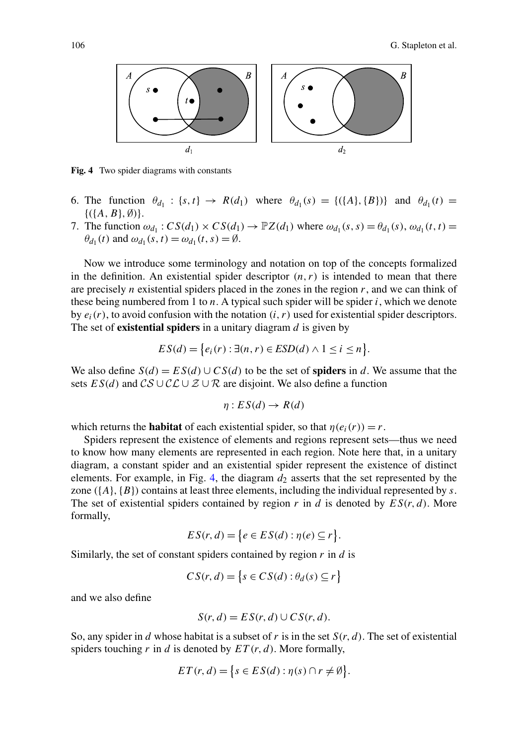

**Fig. 4** Two spider diagrams with constants

- 6. The function  $\theta_{d_1} : \{s, t\} \to R(d_1)$  where  $\theta_{d_1}(s) = \{(\{A\}, \{B\})\}$  and  $\theta_{d_1}(t) =$  $\{(\{A, B\}, \emptyset)\}.$
- 7. The function  $\omega_{d_1}$ :  $CS(d_1) \times CS(d_1) \rightarrow \mathbb{P}Z(d_1)$  where  $\omega_{d_1}(s, s) = \theta_{d_1}(s), \omega_{d_1}(t, t) =$  $\theta_{d_1}(t)$  and  $\omega_{d_1}(s, t) = \omega_{d_1}(t, s) = \emptyset$ .

Now we introduce some terminology and notation on top of the concepts formalized in the definition. An existential spider descriptor  $(n, r)$  is intended to mean that there are precisely  $n$  existential spiders placed in the zones in the region  $r$ , and we can think of these being numbered from 1 to  $n$ . A typical such spider will be spider  $i$ , which we denote by  $e_i(r)$ , to avoid confusion with the notation  $(i, r)$  used for existential spider descriptors. The set of **existential spiders** in a unitary diagram d is given by

$$
ES(d) = \{e_i(r) : \exists (n, r) \in ESD(d) \land 1 \le i \le n\}.
$$

We also define  $S(d) = ES(d) \cup CS(d)$  to be the set of **spiders** in d. We assume that the sets  $ES(d)$  and  $CS \cup CL \cup Z \cup R$  are disjoint. We also define a function

$$
\eta: ES(d) \to R(d)
$$

which returns the **habitat** of each existential spider, so that  $\eta(e_i(r)) = r$ .

Spiders represent the existence of elements and regions represent sets—thus we need to know how many elements are represented in each region. Note here that, in a unitary diagram, a constant spider and an existential spider represent the existence of distinct elements. For example, in Fig. [4,](#page-5-0) the diagram  $d_2$  asserts that the set represented by the zone  $({A}, {B})$  contains at least three elements, including the individual represented by s. The set of existential spiders contained by region r in d is denoted by  $ES(r, d)$ . More formally,

$$
ES(r, d) = \{e \in ES(d) : \eta(e) \subseteq r\}.
$$

Similarly, the set of constant spiders contained by region  $r$  in  $d$  is

$$
CS(r, d) = \{ s \in CS(d) : \theta_d(s) \subseteq r \}
$$

and we also define

$$
S(r, d) = ES(r, d) \cup CS(r, d).
$$

So, any spider in d whose habitat is a subset of r is in the set  $S(r, d)$ . The set of existential spiders touching r in d is denoted by  $ET(r, d)$ . More formally,

$$
ET(r, d) = \{ s \in ES(d) : \eta(s) \cap r \neq \emptyset \}.
$$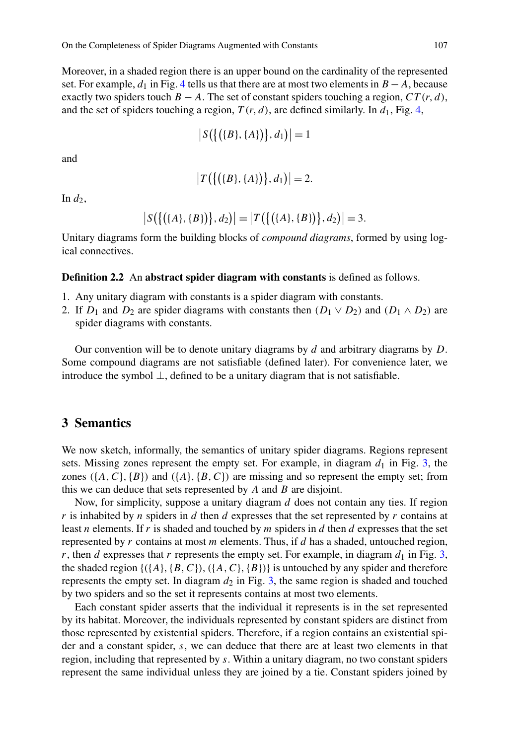Moreover, in a shaded region there is an upper bound on the cardinality of the represented set. For example,  $d_1$  in Fig. [4](#page-5-0) tells us that there are at most two elements in  $B - A$ , because exactly two spiders touch  $B - A$ . The set of constant spiders touching a region,  $CT(r, d)$ , and the set of spiders touching a region,  $T(r, d)$ , are defined similarly. In  $d_1$ , Fig. [4](#page-5-0),

$$
|S(\{(\{B\},\{A\})\},d_1)|=1
$$

and

$$
|T(\{(\{B\},\{A\})\},d_1)|=2.
$$

In  $d_2$ ,

$$
|S(\{(A\},\{B\})\},d_2)|=|T(\{(A\},\{B\})\},d_2)|=3.
$$

Unitary diagrams form the building blocks of *compound diagrams*, formed by using logical connectives.

#### **Definition 2.2** An **abstract spider diagram with constants** is defined as follows.

- 1. Any unitary diagram with constants is a spider diagram with constants.
- 2. If  $D_1$  and  $D_2$  are spider diagrams with constants then  $(D_1 \vee D_2)$  and  $(D_1 \wedge D_2)$  are spider diagrams with constants.

Our convention will be to denote unitary diagrams by  $d$  and arbitrary diagrams by  $D$ . Some compound diagrams are not satisfiable (defined later). For convenience later, we introduce the symbol  $\perp$ , defined to be a unitary diagram that is not satisfiable.

#### **3 Semantics**

We now sketch, informally, the semantics of unitary spider diagrams. Regions represent sets. Missing zones represent the empty set. For example, in diagram  $d_1$  in Fig. [3,](#page-3-0) the zones  $({A, C}, {B})$  and  $({A}, {B}, C)$  are missing and so represent the empty set; from this we can deduce that sets represented by  $A$  and  $B$  are disjoint.

Now, for simplicity, suppose a unitary diagram  $d$  does not contain any ties. If region r is inhabited by n spiders in d then d expresses that the set represented by r contains at least n elements. If r is shaded and touched by m spiders in d then d expresses that the set represented by r contains at most  $m$  elements. Thus, if  $d$  has a shaded, untouched region, r, then d expresses that r represents the empty set. For example, in diagram  $d_1$  in Fig. [3,](#page-3-0) the shaded region  $\{\{\{A\},\{B,C\}\}\$ ,  $\{\{A,C\},\{B\}\}\$  is untouched by any spider and therefore represents the empty set. In diagram  $d_2$  in Fig. [3](#page-3-0), the same region is shaded and touched by two spiders and so the set it represents contains at most two elements.

Each constant spider asserts that the individual it represents is in the set represented by its habitat. Moreover, the individuals represented by constant spiders are distinct from those represented by existential spiders. Therefore, if a region contains an existential spider and a constant spider, s, we can deduce that there are at least two elements in that region, including that represented by s. Within a unitary diagram, no two constant spiders represent the same individual unless they are joined by a tie. Constant spiders joined by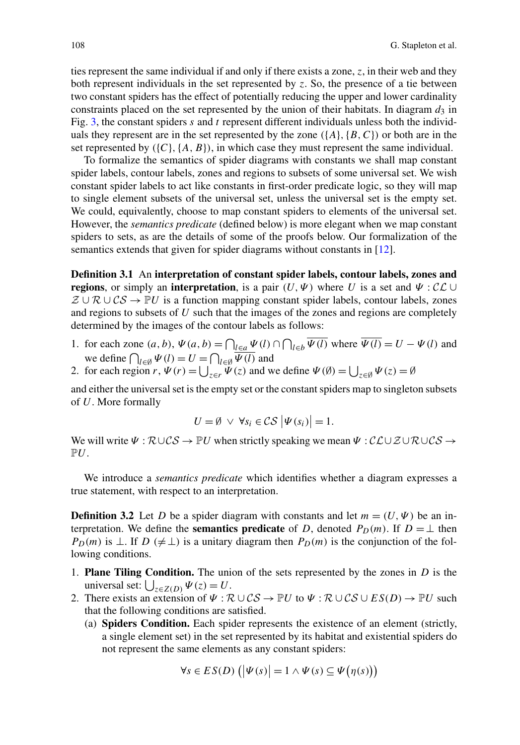ties represent the same individual if and only if there exists a zone, z, in their web and they both represent individuals in the set represented by z. So, the presence of a tie between two constant spiders has the effect of potentially reducing the upper and lower cardinality constraints placed on the set represented by the union of their habitats. In diagram  $d_3$  in Fig. [3](#page-3-0), the constant spiders s and t represent different individuals unless both the individuals they represent are in the set represented by the zone  $({A}, {B}, {C})$  or both are in the set represented by  $({C}, {A, B})$ , in which case they must represent the same individual.

To formalize the semantics of spider diagrams with constants we shall map constant spider labels, contour labels, zones and regions to subsets of some universal set. We wish constant spider labels to act like constants in first-order predicate logic, so they will map to single element subsets of the universal set, unless the universal set is the empty set. We could, equivalently, choose to map constant spiders to elements of the universal set. However, the *semantics predicate* (defined below) is more elegant when we map constant spiders to sets, as are the details of some of the proofs below. Our formalization of the semantics extends that given for spider diagrams without constants in [\[12](#page-31-3)].

<span id="page-9-0"></span>**Definition 3.1** An **interpretation of constant spider labels, contour labels, zones and regions**, or simply an **interpretation**, is a pair  $(U, \Psi)$  where U is a set and  $\Psi : \mathcal{CL} \cup$  $\mathcal{Z} \cup \mathcal{R} \cup \mathcal{C} \mathcal{S} \rightarrow \mathbb{P} U$  is a function mapping constant spider labels, contour labels, zones and regions to subsets of  $U$  such that the images of the zones and regions are completely determined by the images of the contour labels as follows:

- 1. for each zone  $(a, b)$ ,  $\Psi(a, b) = \bigcap_{l \in a} \Psi(l) \cap \bigcap_{l \in b} \Psi(l)$  where  $\Psi(l) = U \Psi(l)$  and we define  $\bigcap_{l \in \emptyset} \Psi(l) = U = \bigcap_{l \in \emptyset} \Psi(l)$  and
- 2. for each region  $r, \Psi(r) = \bigcup_{z \in r} \Psi(z)$  and we define  $\Psi(\emptyset) = \bigcup_{z \in \emptyset} \Psi(z) = \emptyset$

and either the universal set is the empty set or the constant spiders map to singleton subsets of U. More formally

<span id="page-9-1"></span>
$$
U = \emptyset \ \lor \ \forall s_i \in \mathcal{CS} \ |\ \Psi(s_i) \ = 1.
$$

We will write  $\Psi : \mathcal{R} \cup \mathcal{CS} \rightarrow \mathbb{P} U$  when strictly speaking we mean  $\Psi : \mathcal{CL} \cup \mathcal{Z} \cup \mathcal{R} \cup \mathcal{CS} \rightarrow$  $\mathbb{P} U.$ 

We introduce a *semantics predicate* which identifies whether a diagram expresses a true statement, with respect to an interpretation.

**Definition 3.2** Let D be a spider diagram with constants and let  $m = (U, \Psi)$  be an interpretation. We define the **semantics predicate** of D, denoted  $P_D(m)$ . If  $D = \perp$  then  $P_D(m)$  is  $\perp$ . If  $D \neq \perp$ ) is a unitary diagram then  $P_D(m)$  is the conjunction of the following conditions.

- <span id="page-9-2"></span>1. **Plane Tiling Condition.** The union of the sets represented by the zones in D is the universal set:  $\bigcup_{z \in Z(D)} \Psi(z) = U$ .
- 2. There exists an extension of  $\Psi : \mathcal{R} \cup \mathcal{CS} \to \mathbb{P}U$  to  $\Psi : \mathcal{R} \cup \mathcal{CS} \cup ES(D) \to \mathbb{P}U$  such that the following conditions are satisfied.
	- (a) **Spiders Condition.** Each spider represents the existence of an element (strictly, a single element set) in the set represented by its habitat and existential spiders do not represent the same elements as any constant spiders:

$$
\forall s \in ES(D) \left( \left| \Psi(s) \right| = 1 \land \Psi(s) \subseteq \Psi \big( \eta(s) \big) \right)
$$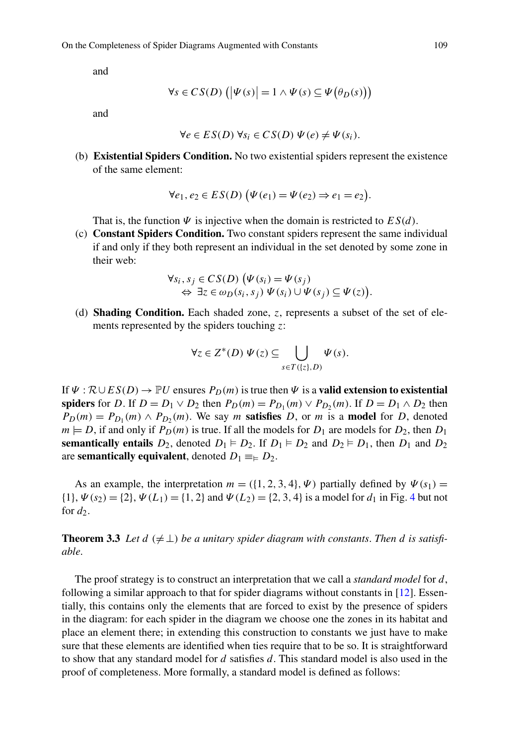<span id="page-10-0"></span>and

$$
\forall s \in CS(D) \left( \left| \Psi(s) \right| = 1 \land \Psi(s) \subseteq \Psi(\theta_D(s)) \right)
$$

and

$$
\forall e \in ES(D) \,\forall s_i \in CS(D) \,\Psi(e) \neq \Psi(s_i).
$$

<span id="page-10-2"></span>(b) **Existential Spiders Condition.** No two existential spiders represent the existence of the same element:

$$
\forall e_1, e_2 \in ES(D) \left( \Psi(e_1) = \Psi(e_2) \Rightarrow e_1 = e_2 \right).
$$

<span id="page-10-1"></span>That is, the function  $\Psi$  is injective when the domain is restricted to  $ES(d)$ .

(c) **Constant Spiders Condition.** Two constant spiders represent the same individual if and only if they both represent an individual in the set denoted by some zone in their web:

$$
\forall s_i, s_j \in CS(D) \left( \Psi(s_i) = \Psi(s_j) \right) \n\Leftrightarrow \exists z \in \omega_D(s_i, s_j) \Psi(s_i) \cup \Psi(s_j) \subseteq \Psi(z).
$$

(d) **Shading Condition.** Each shaded zone, z, represents a subset of the set of elements represented by the spiders touching  $z$ :

$$
\forall z \in Z^*(D) \ \Psi(z) \subseteq \bigcup_{s \in T(\{z\}, D)} \Psi(s).
$$

If  $\Psi : \mathcal{R} \cup ES(D) \rightarrow \mathbb{P}U$  ensures  $P_D(m)$  is true then  $\Psi$  is a **valid extension to existential spiders** for D. If  $D = D_1 \vee D_2$  then  $P_D(m) = P_{D_1}(m) \vee P_{D_2}(m)$ . If  $D = D_1 \wedge D_2$  then  $P_D(m) = P_{D_1}(m) \wedge P_{D_2}(m)$ . We say *m* **satisfies** *D*, or *m* is a **model** for *D*, denoted  $m \models D$ , if and only if  $P_D(m)$  is true. If all the models for  $D_1$  are models for  $D_2$ , then  $D_1$ **semantically entails**  $D_2$ , denoted  $D_1 \models D_2$ . If  $D_1 \models D_2$  and  $D_2 \models D_1$ , then  $D_1$  and  $D_2$ are **semantically equivalent**, denoted  $D_1 \equiv \n \in D_2$ .

As an example, the interpretation  $m = (\{1, 2, 3, 4\}, \Psi)$  partially defined by  $\Psi(s_1) =$  $\{1\}, \Psi(s_2) = \{2\}, \Psi(L_1) = \{1, 2\}$  and  $\Psi(L_2) = \{2, 3, 4\}$  $\Psi(L_2) = \{2, 3, 4\}$  $\Psi(L_2) = \{2, 3, 4\}$  is a model for  $d_1$  in Fig. 4 but not for  $d_2$ .

**Theorem 3.3** Let  $d \neq \perp$  be a unitary spider diagram with constants. Then d is satisfi*able*.

The proof strategy is to construct an interpretation that we call a *standard model* for d, following a similar approach to that for spider diagrams without constants in  $[12]$  $[12]$ . Essentially, this contains only the elements that are forced to exist by the presence of spiders in the diagram: for each spider in the diagram we choose one the zones in its habitat and place an element there; in extending this construction to constants we just have to make sure that these elements are identified when ties require that to be so. It is straightforward to show that any standard model for  $d$  satisfies  $d$ . This standard model is also used in the proof of completeness. More formally, a standard model is defined as follows: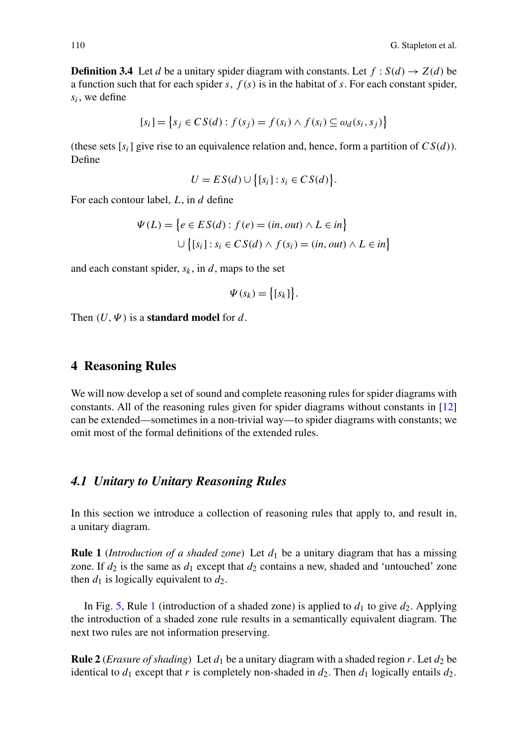**Definition 3.4** Let d be a unitary spider diagram with constants. Let  $f : S(d) \rightarrow Z(d)$  be a function such that for each spider s,  $f(s)$  is in the habitat of s. For each constant spider,  $s_i$ , we define

$$
[s_i] = \{s_j \in CS(d) : f(s_j) = f(s_i) \land f(s_i) \subseteq \omega_d(s_i, s_j)\}
$$

<span id="page-11-0"></span>(these sets  $[s_i]$  give rise to an equivalence relation and, hence, form a partition of  $CS(d)$ ). Define

$$
U = ES(d) \cup \{ [s_i] : s_i \in CS(d) \}.
$$

<span id="page-11-1"></span>For each contour label,  $L$ , in  $d$  define

$$
\Psi(L) = \{e \in ES(d) : f(e) = (in, out) \land L \in in\}
$$

$$
\cup \{[s_i] : s_i \in CS(d) \land f(s_i) = (in, out) \land L \in in\}
$$

and each constant spider,  $s_k$ , in d, maps to the set

$$
\Psi(s_k) = \big\{ [s_k] \big\}.
$$

Then  $(U, \Psi)$  is a **standard model** for d.

#### **4 Reasoning Rules**

We will now develop a set of sound and complete reasoning rules for spider diagrams with constants. All of the reasoning rules given for spider diagrams without constants in [\[12](#page-31-3)] can be extended—sometimes in a non-trivial way—to spider diagrams with constants; we omit most of the formal definitions of the extended rules.

#### *4.1 Unitary to Unitary Reasoning Rules*

In this section we introduce a collection of reasoning rules that apply to, and result in, a unitary diagram.

**Rule 1** (*Introduction of a shaded zone*) Let  $d_1$  be a unitary diagram that has a missing zone. If  $d_2$  is the same as  $d_1$  except that  $d_2$  contains a new, shaded and 'untouched' zone then  $d_1$  is logically equivalent to  $d_2$ .

In Fig. [5,](#page-10-0) Rule [1](#page-9-1) (introduction of a shaded zone) is applied to  $d_1$  to give  $d_2$ . Applying the introduction of a shaded zone rule results in a semantically equivalent diagram. The next two rules are not information preserving.

**Rule 2** (*Erasure of shading*) Let  $d_1$  be a unitary diagram with a shaded region r. Let  $d_2$  be identical to  $d_1$  except that r is completely non-shaded in  $d_2$ . Then  $d_1$  logically entails  $d_2$ .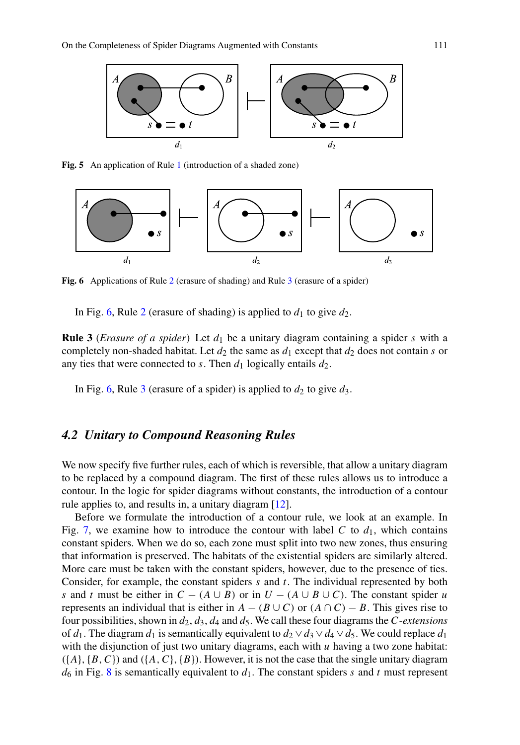<span id="page-12-1"></span>

**Fig. 5** An application of Rule [1](#page-9-1) (introduction of a shaded zone)

<span id="page-12-3"></span>

<span id="page-12-0"></span>**Fig. 6** Applications of Rule [2](#page-9-2) (erasure of shading) and Rule [3](#page-10-1) (erasure of a spider)

In Fig. [6,](#page-10-2) Rule [2](#page-9-2) (erasure of shading) is applied to  $d_1$  to give  $d_2$ .

**Rule 3** (*Erasure of a spider*) Let  $d_1$  be a unitary diagram containing a spider s with a completely non-shaded habitat. Let  $d_2$  the same as  $d_1$  except that  $d_2$  does not contain s or any ties that were connected to s. Then  $d_1$  logically entails  $d_2$ .

In Fig. [6,](#page-10-2) Rule [3](#page-10-1) (erasure of a spider) is applied to  $d_2$  to give  $d_3$ .

#### *4.2 Unitary to Compound Reasoning Rules*

<span id="page-12-2"></span>We now specify five further rules, each of which is reversible, that allow a unitary diagram to be replaced by a compound diagram. The first of these rules allows us to introduce a contour. In the logic for spider diagrams without constants, the introduction of a contour rule applies to, and results in, a unitary diagram [\[12](#page-31-3)].

Before we formulate the introduction of a contour rule, we look at an example. In Fig. [7](#page-11-0), we examine how to introduce the contour with label C to  $d_1$ , which contains constant spiders. When we do so, each zone must split into two new zones, thus ensuring that information is preserved. The habitats of the existential spiders are similarly altered. More care must be taken with the constant spiders, however, due to the presence of ties. Consider, for example, the constant spiders  $s$  and  $t$ . The individual represented by both s and t must be either in  $C - (A \cup B)$  or in  $U - (A \cup B \cup C)$ . The constant spider u represents an individual that is either in  $A - (B \cup C)$  or  $(A \cap C) - B$ . This gives rise to four possibilities, shown in  $d_2$ ,  $d_3$ ,  $d_4$  and  $d_5$ . We call these four diagrams the C-*extensions* of  $d_1$ . The diagram  $d_1$  is semantically equivalent to  $d_2 \vee d_3 \vee d_4 \vee d_5$ . We could replace  $d_1$ with the disjunction of just two unitary diagrams, each with  $u$  having a two zone habitat:  $({A}, {B, C})$  and  $({A, C}, {B})$ . However, it is not the case that the single unitary diagram  $d_6$  in Fig. [8](#page-11-1) is semantically equivalent to  $d_1$ . The constant spiders s and t must represent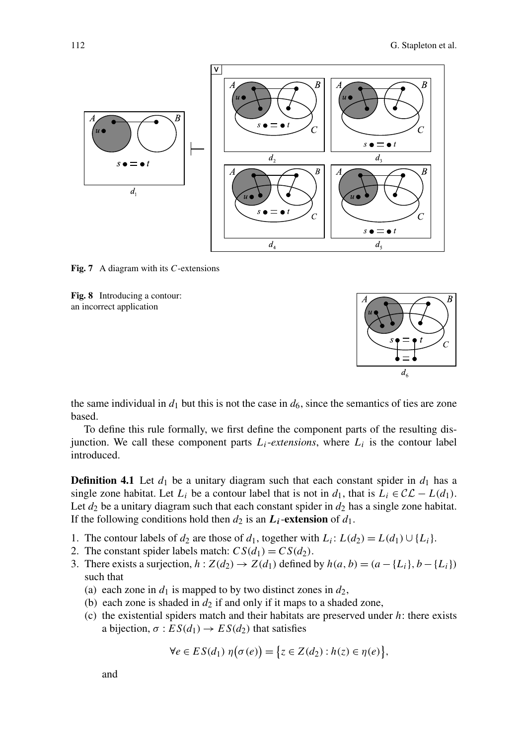<span id="page-13-0"></span>

<span id="page-13-1"></span>**Fig. 7** A diagram with its C-extensions





the same individual in  $d_1$  but this is not the case in  $d_6$ , since the semantics of ties are zone based.

To define this rule formally, we first define the component parts of the resulting disjunction. We call these component parts  $L_i$ -extensions, where  $L_i$  is the contour label introduced.

**Definition 4.1** Let  $d_1$  be a unitary diagram such that each constant spider in  $d_1$  has a single zone habitat. Let  $L_i$  be a contour label that is not in  $d_1$ , that is  $L_i \in \mathcal{CL} - L(d_1)$ . Let  $d_2$  be a unitary diagram such that each constant spider in  $d_2$  has a single zone habitat. If the following conditions hold then  $d_2$  is an  $L_i$ -extension of  $d_1$ .

- 1. The contour labels of  $d_2$  are those of  $d_1$ , together with  $L_i$ :  $L(d_2) = L(d_1) \cup \{L_i\}$ .
- 2. The constant spider labels match:  $CS(d_1) = CS(d_2)$ .
- 3. There exists a surjection,  $h : Z(d_2) \to Z(d_1)$  defined by  $h(a, b) = (a \{L_i\}, b \{L_i\})$ such that
	- (a) each zone in  $d_1$  is mapped to by two distinct zones in  $d_2$ ,
	- (b) each zone is shaded in  $d_2$  if and only if it maps to a shaded zone,
	- (c) the existential spiders match and their habitats are preserved under  $h$ : there exists a bijection,  $\sigma$ :  $ES(d_1) \rightarrow ES(d_2)$  that satisfies

$$
\forall e \in ES(d_1) \ \eta(\sigma(e)) = \{ z \in Z(d_2) : h(z) \in \eta(e) \},
$$

and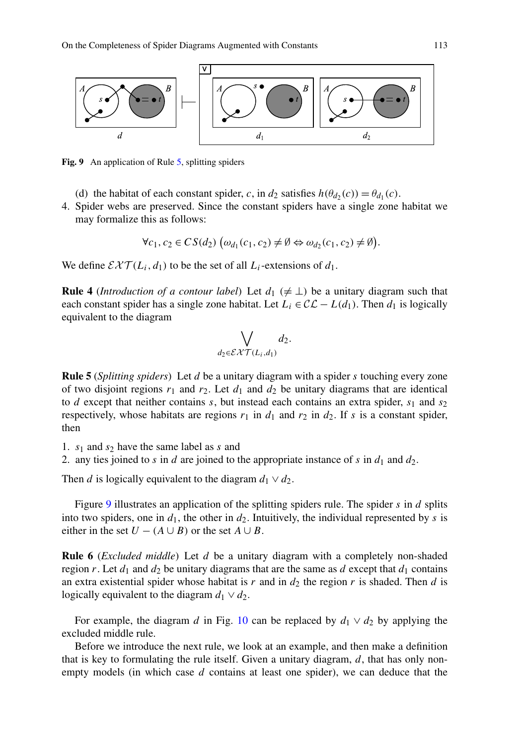<span id="page-14-0"></span>

Fig. 9 An application of Rule [5](#page-12-0), splitting spiders

- (d) the habitat of each constant spider, c, in  $d_2$  satisfies  $h(\theta_{d_2}(c)) = \theta_{d_1}(c)$ .
- 4. Spider webs are preserved. Since the constant spiders have a single zone habitat we may formalize this as follows:

$$
\forall c_1, c_2 \in CS(d_2) \left( \omega_{d_1}(c_1, c_2) \neq \emptyset \Leftrightarrow \omega_{d_2}(c_1, c_2) \neq \emptyset \right).
$$

We define  $\mathcal{E} \mathcal{X} \mathcal{T}(L_i, d_1)$  to be the set of all  $L_i$ -extensions of  $d_1$ .

**Rule 4** (*Introduction of a contour label*) Let  $d_1 \neq \perp$  be a unitary diagram such that each constant spider has a single zone habitat. Let  $L_i \in CL - L(d_1)$ . Then  $d_1$  is logically equivalent to the diagram

<span id="page-14-1"></span>
$$
\bigvee_{d_2 \in \mathcal{EXT}(L_i,d_1)} d_2.
$$

**Rule 5** (*Splitting spiders*) Let d be a unitary diagram with a spider s touching every zone of two disjoint regions  $r_1$  and  $r_2$ . Let  $d_1$  and  $d_2$  be unitary diagrams that are identical to d except that neither contains s, but instead each contains an extra spider,  $s_1$  and  $s_2$ respectively, whose habitats are regions  $r_1$  in  $d_1$  and  $r_2$  in  $d_2$ . If s is a constant spider, then

- 1.  $s_1$  and  $s_2$  have the same label as s and
- 2. any ties joined to s in d are joined to the appropriate instance of s in  $d_1$  and  $d_2$ .

Then d is logically equivalent to the diagram  $d_1 \vee d_2$ .

Figure [9](#page-12-1) illustrates an application of the splitting spiders rule. The spider  $s$  in  $d$  splits into two spiders, one in  $d_1$ , the other in  $d_2$ . Intuitively, the individual represented by s is either in the set  $U - (A \cup B)$  or the set  $A \cup B$ .

**Rule 6** (*Excluded middle*) Let d be a unitary diagram with a completely non-shaded region r. Let  $d_1$  and  $d_2$  be unitary diagrams that are the same as d except that  $d_1$  contains an extra existential spider whose habitat is r and in  $d_2$  the region r is shaded. Then d is logically equivalent to the diagram  $d_1 \vee d_2$ .

For example, the diagram d in Fig. [10](#page-13-0) can be replaced by  $d_1 \vee d_2$  by applying the excluded middle rule.

Before we introduce the next rule, we look at an example, and then make a definition that is key to formulating the rule itself. Given a unitary diagram,  $d$ , that has only nonempty models (in which case  $d$  contains at least one spider), we can deduce that the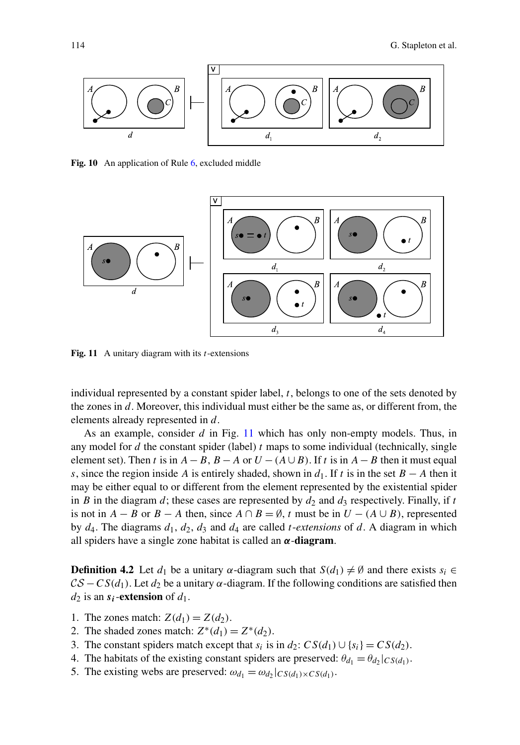<span id="page-15-0"></span>

Fig. 10 An application of Rule [6](#page-12-2), excluded middle



**Fig. 11** A unitary diagram with its  $t$ -extensions

individual represented by a constant spider label,  $t$ , belongs to one of the sets denoted by the zones in  $d$ . Moreover, this individual must either be the same as, or different from, the elements already represented in d.

<span id="page-15-1"></span>As an example, consider  $d$  in Fig. [11](#page-13-1) which has only non-empty models. Thus, in any model for  $d$  the constant spider (label)  $t$  maps to some individual (technically, single element set). Then t is in  $A - B$ ,  $B - A$  or  $U - (A \cup B)$ . If t is in  $A - B$  then it must equal s, since the region inside A is entirely shaded, shown in  $d_1$ . If t is in the set  $B - A$  then it may be either equal to or different from the element represented by the existential spider in B in the diagram d; these cases are represented by  $d_2$  and  $d_3$  respectively. Finally, if t is not in  $A - B$  or  $B - A$  then, since  $A \cap B = \emptyset$ , t must be in  $U - (A \cup B)$ , represented by  $d_4$ . The diagrams  $d_1$ ,  $d_2$ ,  $d_3$  and  $d_4$  are called *t-extensions* of d. A diagram in which all spiders have a single zone habitat is called an α-**diagram**.

**Definition 4.2** Let  $d_1$  be a unitary  $\alpha$ -diagram such that  $S(d_1) \neq \emptyset$  and there exists  $s_i \in$  $CS - CS(d_1)$ . Let  $d_2$  be a unitary  $\alpha$ -diagram. If the following conditions are satisfied then  $d_2$  is an  $s_i$ -**extension** of  $d_1$ .

- 1. The zones match:  $Z(d_1) = Z(d_2)$ .
- 2. The shaded zones match:  $Z^*(d_1) = Z^*(d_2)$ .
- 3. The constant spiders match except that  $s_i$  is in  $d_2$ :  $CS(d_1) \cup \{s_i\} = CS(d_2)$ .
- 4. The habitats of the existing constant spiders are preserved:  $\theta_{d_1} = \theta_{d_2}|_{CS(d_1)}$ .
- 5. The existing webs are preserved:  $\omega_{d_1} = \omega_{d_2}|_{CS(d_1)\times CS(d_1)}$ .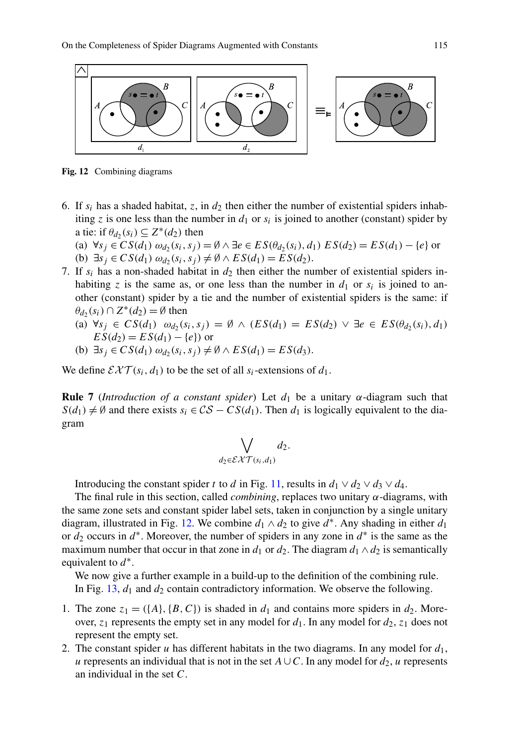

**Fig. 12** Combining diagrams

- <span id="page-16-0"></span>6. If  $s_i$  has a shaded habitat, z, in  $d_2$  then either the number of existential spiders inhabiting z is one less than the number in  $d_1$  or  $s_i$  is joined to another (constant) spider by a tie: if  $\theta_{d_2}(s_i) \subseteq Z^*(d_2)$  then
	- (a)  $\forall s_j \in CS(d_1) \omega_{d_2}(s_i, s_j) = \emptyset \wedge \exists e \in ES(\theta_{d_2}(s_i), d_1) ES(d_2) = ES(d_1) \{e\}$  or (b)  $\exists s_j \in CS(d_1) \omega_{d_2}(s_i, s_j) \neq \emptyset \wedge ES(d_1) = ES(d_2).$
- 7. If  $s_i$  has a non-shaded habitat in  $d_2$  then either the number of existential spiders inhabiting z is the same as, or one less than the number in  $d_1$  or  $s_i$  is joined to another (constant) spider by a tie and the number of existential spiders is the same: if  $\theta_{d_2}(s_i) \cap Z^*(d_2) = \emptyset$  then
	- (a)  $\forall s_j \in CS(d_1) \omega_{d_2}(s_i, s_j) = \emptyset \wedge (ES(d_1) = ES(d_2) \vee \exists e \in ES(\theta_{d_2}(s_i), d_1)$  $ES(d_2) = ES(d_1) - \{e\}$  or
	- (b)  $\exists s_j \in CS(d_1) \omega_{d_2}(s_i, s_j) \neq \emptyset \wedge ES(d_1) = ES(d_3).$

<span id="page-16-1"></span>We define  $\mathcal{E} \mathcal{X} \mathcal{T}(s_i, d_1)$  to be the set of all  $s_i$ -extensions of  $d_1$ .

**Rule 7** (*Introduction of a constant spider*) Let  $d_1$  be a unitary  $\alpha$ -diagram such that  $S(d_1) \neq \emptyset$  and there exists  $s_i \in \mathcal{CS} - CS(d_1)$ . Then  $d_1$  is logically equivalent to the diagram

$$
\bigvee_{d_2 \in \mathcal{EXT}(s_i,d_1)} d_2.
$$

Introducing the constant spider t to d in Fig. [11](#page-13-1), results in  $d_1 \vee d_2 \vee d_3 \vee d_4$ .

The final rule in this section, called *combining*, replaces two unitary  $\alpha$ -diagrams, with the same zone sets and constant spider label sets, taken in conjunction by a single unitary diagram, illustrated in Fig. [12](#page-14-0). We combine  $d_1 \wedge d_2$  to give  $d^*$ . Any shading in either  $d_1$ or  $d_2$  occurs in  $d^*$ . Moreover, the number of spiders in any zone in  $d^*$  is the same as the maximum number that occur in that zone in  $d_1$  or  $d_2$ . The diagram  $d_1 \wedge d_2$  is semantically equivalent to  $d^*$ .

We now give a further example in a build-up to the definition of the combining rule. In Fig. [13,](#page-15-0)  $d_1$  and  $d_2$  contain contradictory information. We observe the following.

- 1. The zone  $z_1 = (\{A\}, \{B, C\})$  is shaded in  $d_1$  and contains more spiders in  $d_2$ . Moreover,  $z_1$  represents the empty set in any model for  $d_1$ . In any model for  $d_2$ ,  $z_1$  does not represent the empty set.
- 2. The constant spider u has different habitats in the two diagrams. In any model for  $d_1$ , u represents an individual that is not in the set  $A\cup C$ . In any model for  $d_2$ , u represents an individual in the set C.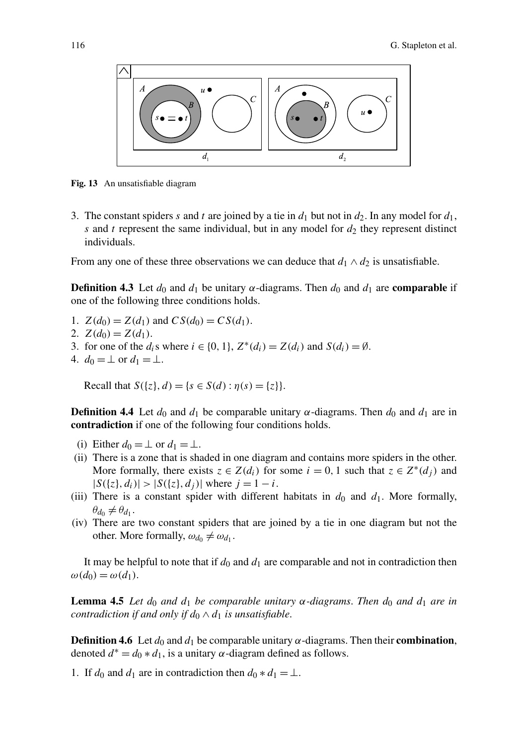<span id="page-17-2"></span>

**Fig. 13** An unsatisfiable diagram

3. The constant spiders s and t are joined by a tie in  $d_1$  but not in  $d_2$ . In any model for  $d_1$ , s and t represent the same individual, but in any model for  $d_2$  they represent distinct individuals.

From any one of these three observations we can deduce that  $d_1 \wedge d_2$  is unsatisfiable.

**Definition 4.3** Let  $d_0$  and  $d_1$  be unitary  $\alpha$ -diagrams. Then  $d_0$  and  $d_1$  are **comparable** if one of the following three conditions holds.

- 1.  $Z(d_0) = Z(d_1)$  and  $CS(d_0) = CS(d_1)$ .
- 2.  $Z(d_0) = Z(d_1)$ .
- <span id="page-17-0"></span>3. for one of the  $d_i$ s where  $i \in \{0, 1\}$ ,  $Z^*(d_i) = Z(d_i)$  and  $S(d_i) = \emptyset$ .
- 4.  $d_0 = \perp$  or  $d_1 = \perp$ .

Recall that  $S({z}, d) = {s \in S(d) : \eta(s) = {z}}.$ 

**Definition 4.4** Let  $d_0$  and  $d_1$  be comparable unitary  $\alpha$ -diagrams. Then  $d_0$  and  $d_1$  are in **contradiction** if one of the following four conditions holds.

- (i) Either  $d_0 = \perp$  or  $d_1 = \perp$ .
- <span id="page-17-1"></span>(ii) There is a zone that is shaded in one diagram and contains more spiders in the other. More formally, there exists  $z \in Z(d_i)$  for some  $i = 0, 1$  such that  $z \in Z^*(d_j)$  and  $|S({z}, d_i)| > |S({z}, d_i)|$  where  $j = 1 - i$ .
- (iii) There is a constant spider with different habitats in  $d_0$  and  $d_1$ . More formally,  $\theta_{d_0} \neq \theta_{d_1}.$
- (iv) There are two constant spiders that are joined by a tie in one diagram but not the other. More formally,  $\omega_{d_0} \neq \omega_{d_1}$ .

It may be helpful to note that if  $d_0$  and  $d_1$  are comparable and not in contradiction then  $\omega(d_0) = \omega(d_1)$ .

**Lemma 4.5** *Let* d<sub>0</sub> *and* d<sub>1</sub> *be comparable unitary*  $\alpha$ -diagrams. Then d<sub>0</sub> *and* d<sub>1</sub> *are in contradiction if and only if*  $d_0 \wedge d_1$  *is unsatisfiable.* 

**Definition 4.6** Let  $d_0$  and  $d_1$  be comparable unitary  $\alpha$ -diagrams. Then their **combination**, denoted  $d^* = d_0 * d_1$ , is a unitary  $\alpha$ -diagram defined as follows.

1. If  $d_0$  and  $d_1$  are in contradiction then  $d_0 * d_1 = \perp$ .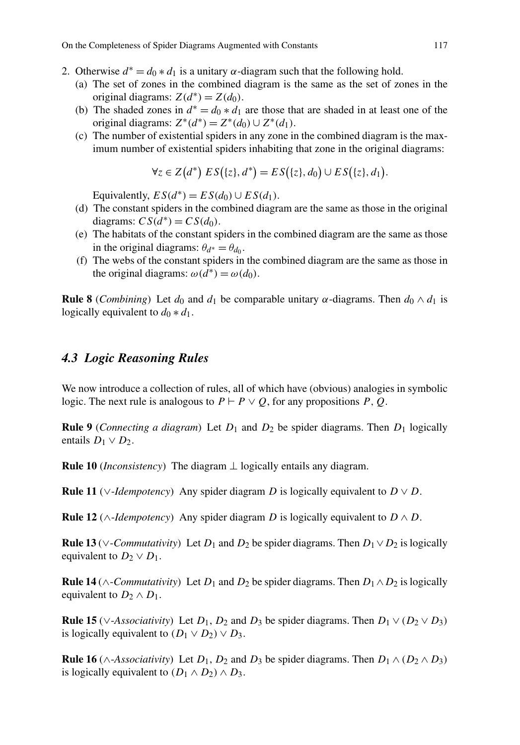- 2. Otherwise  $d^* = d_0 * d_1$  is a unitary  $\alpha$ -diagram such that the following hold.
	- (a) The set of zones in the combined diagram is the same as the set of zones in the original diagrams:  $Z(d^*) = Z(d_0)$ .
	- (b) The shaded zones in  $d^* = d_0 * d_1$  are those that are shaded in at least one of the original diagrams:  $Z^*(d^*) = Z^*(d_0) \cup Z^*(d_1)$ .
	- (c) The number of existential spiders in any zone in the combined diagram is the maximum number of existential spiders inhabiting that zone in the original diagrams:

$$
\forall z \in Z(d^*) \ ES(\{z\}, d^*) = ES(\{z\}, d_0) \cup ES(\{z\}, d_1).
$$

Equivalently,  $ES(d^*) = ES(d_0) \cup ES(d_1)$ .

- (d) The constant spiders in the combined diagram are the same as those in the original diagrams:  $CS(d^*) = CS(d_0)$ .
- (e) The habitats of the constant spiders in the combined diagram are the same as those in the original diagrams:  $\theta_{d^*} = \theta_{d_0}$ .
- (f) The webs of the constant spiders in the combined diagram are the same as those in the original diagrams:  $\omega(d^*) = \omega(d_0)$ .

**Rule 8** (*Combining*) Let  $d_0$  and  $d_1$  be comparable unitary  $\alpha$ -diagrams. Then  $d_0 \wedge d_1$  is logically equivalent to  $d_0 * d_1$ .

#### *4.3 Logic Reasoning Rules*

We now introduce a collection of rules, all of which have (obvious) analogies in symbolic logic. The next rule is analogous to  $P \vdash P \lor Q$ , for any propositions P, Q.

**Rule 9** (*Connecting a diagram*) Let  $D_1$  and  $D_2$  be spider diagrams. Then  $D_1$  logically entails  $D_1 \vee D_2$ .

**Rule 10** (*Inconsistency*) The diagram  $\perp$  logically entails any diagram.

**Rule 11** ( $\vee$ *-Idempotency*) Any spider diagram D is logically equivalent to  $D \vee D$ .

**Rule 12** ( $\land$ -*Idempotency*) Any spider diagram D is logically equivalent to  $D \land D$ .

**Rule 13** (∨-*Commutativity*) Let  $D_1$  and  $D_2$  be spider diagrams. Then  $D_1 \vee D_2$  is logically equivalent to  $D_2 \vee D_1$ .

**Rule 14** (∧-*Commutativity*) Let  $D_1$  and  $D_2$  be spider diagrams. Then  $D_1 \wedge D_2$  is logically equivalent to  $D_2 \wedge D_1$ .

**Rule 15** (∨-*Associativity*) Let  $D_1$ ,  $D_2$  and  $D_3$  be spider diagrams. Then  $D_1 \vee (D_2 \vee D_3)$ is logically equivalent to  $(D_1 \vee D_2) \vee D_3$ .

**Rule 16** (∧-*Associativity*) Let  $D_1$ ,  $D_2$  and  $D_3$  be spider diagrams. Then  $D_1 \wedge (D_2 \wedge D_3)$ is logically equivalent to  $(D_1 \wedge D_2) \wedge D_3$ .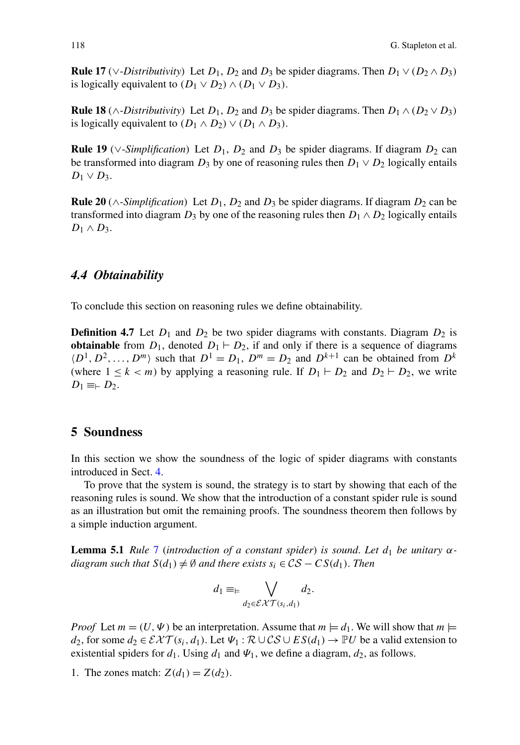**Rule 17** (∨-*Distributivity*) Let  $D_1$ ,  $D_2$  and  $D_3$  be spider diagrams. Then  $D_1 \vee (D_2 \wedge D_3)$ is logically equivalent to  $(D_1 \vee D_2) \wedge (D_1 \vee D_3)$ .

**Rule 18** (∧-*Distributivity*) Let  $D_1$ ,  $D_2$  and  $D_3$  be spider diagrams. Then  $D_1 \wedge (D_2 \vee D_3)$ is logically equivalent to  $(D_1 \wedge D_2) \vee (D_1 \wedge D_3)$ .

**Rule 19** ( $\vee$ -*Simplification*) Let  $D_1$ ,  $D_2$  and  $D_3$  be spider diagrams. If diagram  $D_2$  can be transformed into diagram  $D_3$  by one of reasoning rules then  $D_1 \vee D_2$  logically entails  $D_1 \vee D_3$ .

**Rule 20** ( $\wedge$ -*Simplification*) Let  $D_1$ ,  $D_2$  and  $D_3$  be spider diagrams. If diagram  $D_2$  can be transformed into diagram  $D_3$  by one of the reasoning rules then  $D_1 \wedge D_2$  logically entails  $D_1 \wedge D_3$ .

#### *4.4 Obtainability*

To conclude this section on reasoning rules we define obtainability.

**Definition 4.7** Let  $D_1$  and  $D_2$  be two spider diagrams with constants. Diagram  $D_2$  is **obtainable** from  $D_1$ , denoted  $D_1 \vdash D_2$ , if and only if there is a sequence of diagrams  $\langle D^1, D^2, \ldots, D^m \rangle$  such that  $D^1 = D_1$ ,  $D^m = D_2$  and  $D^{k+1}$  can be obtained from  $D^k$ (where  $1 \le k < m$ ) by applying a reasoning rule. If  $D_1 \vdash D_2$  and  $D_2 \vdash D_2$ , we write  $D_1 \equiv \vdash D_2.$ 

#### **5 Soundness**

In this section we show the soundness of the logic of spider diagrams with constants introduced in Sect. [4.](#page-9-0)

To prove that the system is sound, the strategy is to start by showing that each of the reasoning rules is sound. We show that the introduction of a constant spider rule is sound as an illustration but omit the remaining proofs. The soundness theorem then follows by a simple induction argument.

**Lemma 5.1** *Rule* [7](#page-14-1) (*introduction of a constant spider*) *is sound. Let*  $d_1$  *be unitary*  $\alpha$ *diagram such that*  $S(d_1) \neq \emptyset$  *and there exists*  $s_i \in \mathcal{CS} - CS(d_1)$ *. Then* 

$$
d_1 \equiv \models \bigvee_{d_2 \in \mathcal{E}} \bigvee_{\mathcal{X} \mathcal{T}(s_i, d_1)} d_2.
$$

*Proof* Let  $m = (U, \Psi)$  be an interpretation. Assume that  $m \models d_1$ . We will show that  $m \models$ d<sub>2</sub>, for some  $d_2 \in \mathcal{E} \mathcal{X} \mathcal{T}(s_i, d_1)$ . Let  $\Psi_1 : \mathcal{R} \cup \mathcal{C} \mathcal{S} \cup E \mathcal{S}(d_1) \to \mathbb{P} U$  be a valid extension to existential spiders for  $d_1$ . Using  $d_1$  and  $\Psi_1$ , we define a diagram,  $d_2$ , as follows.

1. The zones match:  $Z(d_1) = Z(d_2)$ .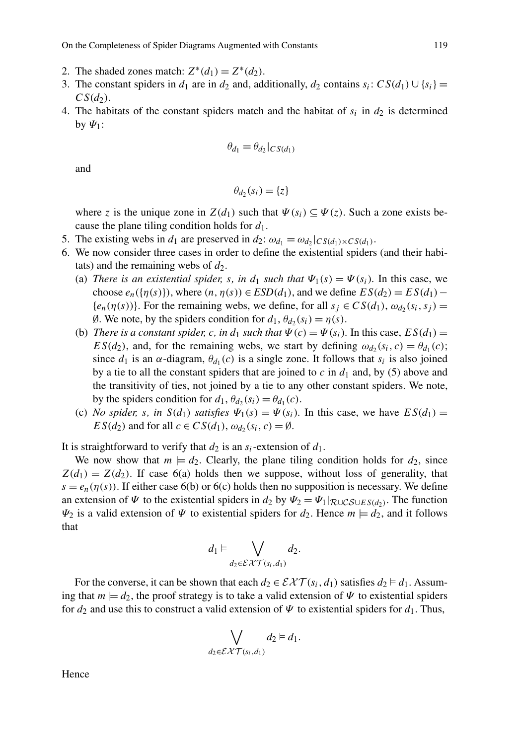<span id="page-20-0"></span>On the Completeness of Spider Diagrams Augmented with Constants 119

- 2. The shaded zones match:  $Z^*(d_1) = Z^*(d_2)$ .
- 3. The constant spiders in  $d_1$  are in  $d_2$  and, additionally,  $d_2$  contains  $s_i$ :  $CS(d_1) \cup \{s_i\}$  =  $CS(d_2)$ .
- 4. The habitats of the constant spiders match and the habitat of  $s_i$  in  $d_2$  is determined by  $\Psi_1$ :

$$
\theta_{d_1} = \theta_{d_2}|_{CS(d_1)}
$$

and

$$
\theta_{d_2}(s_i) = \{z\}
$$

where z is the unique zone in  $Z(d_1)$  such that  $\Psi(s_i) \subseteq \Psi(z)$ . Such a zone exists because the plane tiling condition holds for  $d_1$ .

- 5. The existing webs in  $d_1$  are preserved in  $d_2$ :  $\omega_{d_1} = \omega_{d_2}|_{CS(d_1)\times CS(d_1)}$ .
- 6. We now consider three cases in order to define the existential spiders (and their habitats) and the remaining webs of  $d_2$ .
	- (a) *There is an existential spider, s, in d<sub>1</sub> such that*  $\Psi_1(s) = \Psi(s_i)$ . In this case, we choose  $e_n({\eta(s)}),$  where  $(n, \eta(s)) \in ESD(d_1),$  and we define  $ES(d_2) = ES(d_1)$  –  $\{e_n(\eta(s))\}$ . For the remaining webs, we define, for all  $s_j \in CS(d_1), \omega_{d_2}(s_i, s_j) =$  $\emptyset$ . We note, by the spiders condition for  $d_1$ ,  $\theta_{d_2}(s_i) = \eta(s)$ .
	- (b) *There is a constant spider, c, in d<sub>1</sub> such that*  $\Psi(c) = \Psi(s_i)$ *.* In this case,  $ES(d_1) =$  $ES(d_2)$ , and, for the remaining webs, we start by defining  $\omega_{d_2}(s_i, c) = \theta_{d_1}(c)$ ; since  $d_1$  is an  $\alpha$ -diagram,  $\theta_{d_1}(c)$  is a single zone. It follows that  $s_i$  is also joined by a tie to all the constant spiders that are joined to  $c$  in  $d_1$  and, by (5) above and the transitivity of ties, not joined by a tie to any other constant spiders. We note, by the spiders condition for  $d_1$ ,  $\theta_{d_2}(s_i) = \theta_{d_1}(c)$ .
	- (c) *No spider,* s, in  $S(d_1)$  satisfies  $\Psi_1(s) = \Psi(s_i)$ . In this case, we have  $ES(d_1) =$  $ES(d_2)$  and for all  $c \in CS(d_1), \omega_{d_2}(s_i, c) = \emptyset$ .

It is straightforward to verify that  $d_2$  is an  $s_i$ -extension of  $d_1$ .

We now show that  $m \models d_2$ . Clearly, the plane tiling condition holds for  $d_2$ , since  $Z(d_1) = Z(d_2)$ . If case 6(a) holds then we suppose, without loss of generality, that  $s = e_n(\eta(s))$ . If either case 6(b) or 6(c) holds then no supposition is necessary. We define an extension of  $\Psi$  to the existential spiders in  $d_2$  by  $\Psi_2 = \Psi_1|_{\mathcal{R}\cup\mathcal{CS}\cup ES(d_2)}$ . The function  $\Psi_2$  is a valid extension of  $\Psi$  to existential spiders for  $d_2$ . Hence  $m \models d_2$ , and it follows that

$$
d_1 \vDash \bigvee_{d_2 \in \mathcal{EXT}(s_i,d_1)} d_2.
$$

For the converse, it can be shown that each  $d_2 \in \mathcal{EXT}(s_i, d_1)$  satisfies  $d_2 \vDash d_1$ . Assuming that  $m \models d_2$ , the proof strategy is to take a valid extension of  $\Psi$  to existential spiders for  $d_2$  and use this to construct a valid extension of  $\Psi$  to existential spiders for  $d_1$ . Thus,

$$
\bigvee_{d_2 \in \mathcal{EXY}(s_i,d_1)} d_2 \vDash d_1.
$$

Hence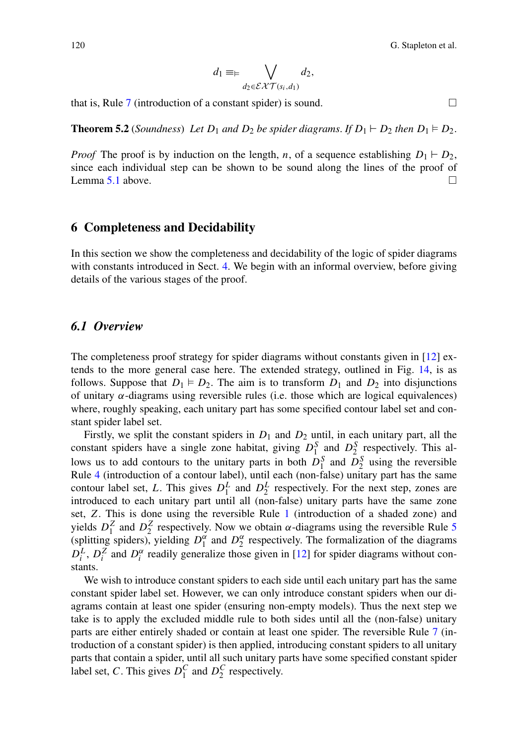$$
d_1 \equiv \models \bigvee_{d_2 \in \mathcal{E}} \bigvee_{\mathcal{X} \mathcal{T}(s_i, d_1)} d_2,
$$

<span id="page-21-0"></span>that is, Rule [7](#page-14-1) (introduction of a constant spider) is sound.  $\square$ 

**Theorem 5.2** (*Soundness*) *Let*  $D_1$  *and*  $D_2$  *be spider diagrams. If*  $D_1 \vdash D_2$  *then*  $D_1 \vdash D_2$ *.* 

<span id="page-21-1"></span>*Proof* The proof is by induction on the length, n, of a sequence establishing  $D_1 \vdash D_2$ , since each individual step can be shown to be sound along the lines of the proof of Lemma [5.1](#page-17-1) above.

#### **6 Completeness and Decidability**

In this section we show the completeness and decidability of the logic of spider diagrams with constants introduced in Sect. [4](#page-9-0). We begin with an informal overview, before giving details of the various stages of the proof.

#### *6.1 Overview*

The completeness proof strategy for spider diagrams without constants given in  $[12]$  $[12]$  extends to the more general case here. The extended strategy, outlined in Fig. [14](#page-20-0), is as follows. Suppose that  $D_1 \models D_2$ . The aim is to transform  $D_1$  and  $D_2$  into disjunctions of unitary  $\alpha$ -diagrams using reversible rules (i.e. those which are logical equivalences) where, roughly speaking, each unitary part has some specified contour label set and constant spider label set.

Firstly, we split the constant spiders in  $D_1$  and  $D_2$  until, in each unitary part, all the constant spiders have a single zone habitat, giving  $D_1^S$  and  $D_2^S$  respectively. This allows us to add contours to the unitary parts in both  $D_1^S$  and  $D_2^S$  using the reversible Rule [4](#page-12-3) (introduction of a contour label), until each (non-false) unitary part has the same contour label set, L. This gives  $D_1^L$  and  $D_2^L$  respectively. For the next step, zones are introduced to each unitary part until all (non-false) unitary parts have the same zone set, Z. This is done using the reversible Rule [1](#page-9-1) (introduction of a shaded zone) and yields  $D_1^Z$  and  $D_2^Z$  respectively. Now we obtain  $\alpha$ -diagrams using the reversible Rule [5](#page-12-0) (splitting spiders), yielding  $D_1^{\alpha}$  and  $D_2^{\alpha}$  respectively. The formalization of the diagrams  $D_i^L$ ,  $D_i^Z$  and  $D_i^{\alpha}$  readily generalize those given in [[12\]](#page-31-3) for spider diagrams without constants.

We wish to introduce constant spiders to each side until each unitary part has the same constant spider label set. However, we can only introduce constant spiders when our diagrams contain at least one spider (ensuring non-empty models). Thus the next step we take is to apply the excluded middle rule to both sides until all the (non-false) unitary parts are either entirely shaded or contain at least one spider. The reversible Rule [7](#page-14-1) (introduction of a constant spider) is then applied, introducing constant spiders to all unitary parts that contain a spider, until all such unitary parts have some specified constant spider label set, C. This gives  $D_1^C$  and  $D_2^C$  respectively.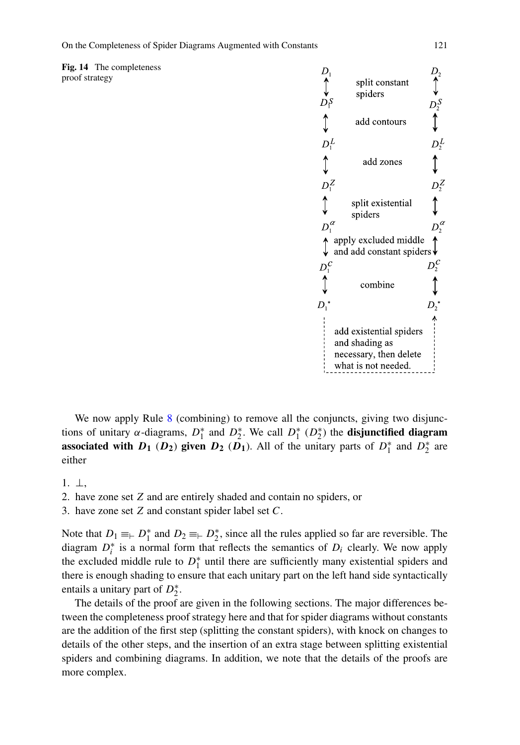<span id="page-22-0"></span>**Fig. 14** The completeness proof strategy



We now apply Rule [8](#page-16-0) (combining) to remove all the conjuncts, giving two disjunctions of unitary  $\alpha$ -diagrams,  $D_1^*$  and  $D_2^*$ . We call  $D_1^*$  ( $D_2^*$ ) the **disjunctified diagram associated with**  $D_1$  **(** $D_2$ **) given**  $D_2$  **(** $D_1$ **). All of the unitary parts of**  $D_1^*$  **and**  $D_2^*$  **are** either

- 1. ⊥,
- 2. have zone set Z and are entirely shaded and contain no spiders, or
- 3. have zone set Z and constant spider label set C.

Note that  $D_1 \equiv_{\vdash} D_1^*$  and  $D_2 \equiv_{\vdash} D_2^*$ , since all the rules applied so far are reversible. The diagram  $D_i^*$  is a normal form that reflects the semantics of  $D_i$  clearly. We now apply the excluded middle rule to  $D_1^*$  until there are sufficiently many existential spiders and there is enough shading to ensure that each unitary part on the left hand side syntactically entails a unitary part of  $D_2^*$ .

The details of the proof are given in the following sections. The major differences between the completeness proof strategy here and that for spider diagrams without constants are the addition of the first step (splitting the constant spiders), with knock on changes to details of the other steps, and the insertion of an extra stage between splitting existential spiders and combining diagrams. In addition, we note that the details of the proofs are more complex.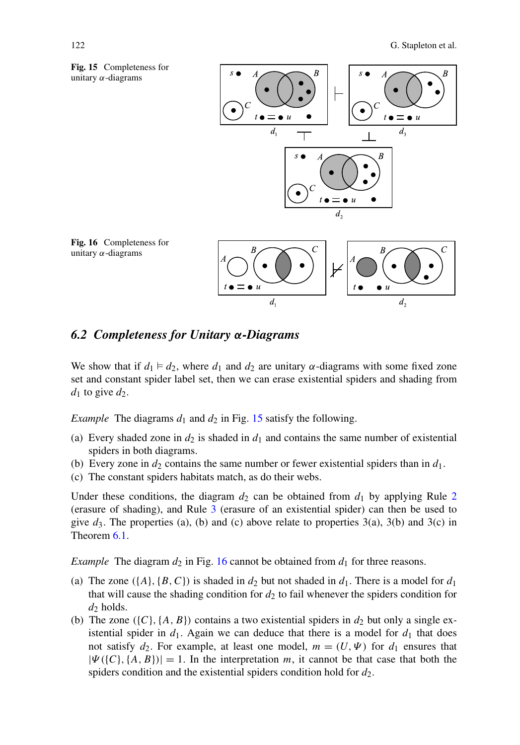

#### <span id="page-23-1"></span><span id="page-23-0"></span>*6.2 Completeness for Unitary* α*-Diagrams*

We show that if  $d_1 \models d_2$ , where  $d_1$  and  $d_2$  are unitary  $\alpha$ -diagrams with some fixed zone set and constant spider label set, then we can erase existential spiders and shading from  $d_1$  to give  $d_2$ .

*Example* The diagrams  $d_1$  and  $d_2$  in Fig. [15](#page-21-0) satisfy the following.

- (a) Every shaded zone in  $d_2$  is shaded in  $d_1$  and contains the same number of existential spiders in both diagrams.
- (b) Every zone in  $d_2$  contains the same number or fewer existential spiders than in  $d_1$ .
- (c) The constant spiders habitats match, as do their webs.

Under these conditions, the diagram  $d_2$  $d_2$  can be obtained from  $d_1$  by applying Rule 2 (erasure of shading), and Rule [3](#page-10-1) (erasure of an existential spider) can then be used to give  $d_3$ . The properties (a), (b) and (c) above relate to properties 3(a), 3(b) and 3(c) in Theorem [6.1](#page-22-0).

*Example* The diagram  $d_2$  in Fig. [16](#page-21-1) cannot be obtained from  $d_1$  for three reasons.

- (a) The zone ({A}, {B, C}) is shaded in  $d_2$  but not shaded in  $d_1$ . There is a model for  $d_1$ that will cause the shading condition for  $d_2$  to fail whenever the spiders condition for  $d_2$  holds.
- (b) The zone ({C}, {A, B}) contains a two existential spiders in  $d_2$  but only a single existential spider in  $d_1$ . Again we can deduce that there is a model for  $d_1$  that does not satisfy  $d_2$ . For example, at least one model,  $m = (U, \Psi)$  for  $d_1$  ensures that  $|\Psi({C}, {A, B})| = 1$ . In the interpretation m, it cannot be that case that both the spiders condition and the existential spiders condition hold for  $d_2$ .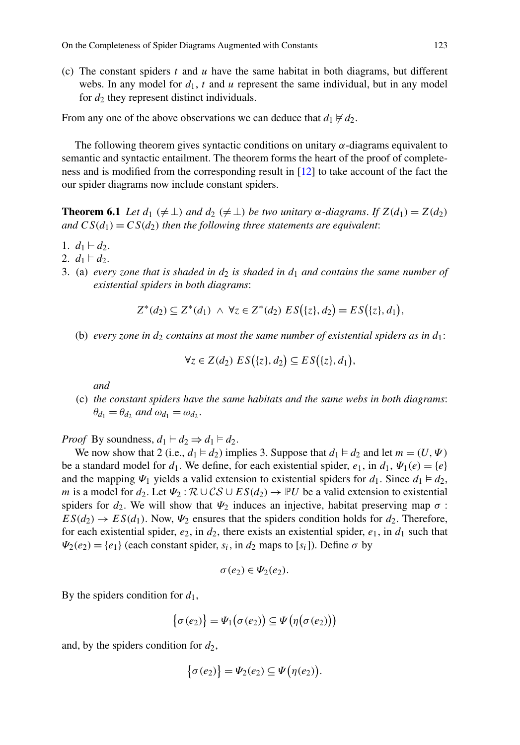<span id="page-24-0"></span>(c) The constant spiders  $t$  and  $u$  have the same habitat in both diagrams, but different webs. In any model for  $d_1$ , t and u represent the same individual, but in any model for  $d_2$  they represent distinct individuals.

From any one of the above observations we can deduce that  $d_1 \not\vdash d_2$ .

The following theorem gives syntactic conditions on unitary  $\alpha$ -diagrams equivalent to semantic and syntactic entailment. The theorem forms the heart of the proof of completeness and is modified from the corresponding result in [\[12](#page-31-3)] to take account of the fact the our spider diagrams now include constant spiders.

**Theorem 6.1** *Let*  $d_1 \neq \bot$  *and*  $d_2 \neq \bot$  *be two unitary*  $\alpha$ *-diagrams. If*  $Z(d_1) = Z(d_2)$ *and*  $CS(d_1) = CS(d_2)$  *then the following three statements are equivalent:* 

- 1.  $d_1 \vdash d_2$ .
- 2.  $d_1 \models d_2$ .
- 3. (a) *every zone that is shaded in*  $d_2$  *is shaded in*  $d_1$  *and contains the same number of existential spiders in both diagrams*:

$$
Z^*(d_2) \subseteq Z^*(d_1) \ \land \ \forall z \in Z^*(d_2) \ ES(\{z\}, d_2) = ES(\{z\}, d_1),
$$

(b) *every zone in*  $d_2$  *contains at most the same number of existential spiders as in*  $d_1$ :

$$
\forall z \in Z(d_2) \ ES\big(\{z\}, d_2\big) \subseteq ES\big(\{z\}, d_1\big),
$$

*and*

(c) *the constant spiders have the same habitats and the same webs in both diagrams*:  $\theta_{d_1} = \theta_{d_2}$  and  $\omega_{d_1} = \omega_{d_2}$ .

*Proof* By soundness,  $d_1 \vdash d_2 \Rightarrow d_1 \models d_2$ .

We now show that 2 (i.e.,  $d_1 \models d_2$ ) implies 3. Suppose that  $d_1 \models d_2$  and let  $m = (U, \Psi)$ be a standard model for  $d_1$ . We define, for each existential spider,  $e_1$ , in  $d_1$ ,  $\Psi_1(e) = \{e\}$ and the mapping  $\Psi_1$  yields a valid extension to existential spiders for  $d_1$ . Since  $d_1 \models d_2$ , m is a model for  $d_2$ . Let  $\Psi_2 : \mathcal{R} \cup \mathcal{CS} \cup ES(d_2) \rightarrow \mathbb{P}U$  be a valid extension to existential spiders for  $d_2$ . We will show that  $\Psi_2$  induces an injective, habitat preserving map  $\sigma$ :  $ES(d_2) \rightarrow ES(d_1)$ . Now,  $\Psi_2$  ensures that the spiders condition holds for  $d_2$ . Therefore, for each existential spider,  $e_2$ , in  $d_2$ , there exists an existential spider,  $e_1$ , in  $d_1$  such that  $\Psi_2(e_2) = \{e_1\}$  (each constant spider,  $s_i$ , in  $d_2$  maps to [ $s_i$ ]). Define  $\sigma$  by

$$
\sigma(e_2) \in \Psi_2(e_2).
$$

By the spiders condition for  $d_1$ ,

$$
\big\{\sigma(e_2)\big\}=\Psi_1\big(\sigma(e_2)\big)\subseteq\Psi\big(\eta\big(\sigma(e_2)\big)\big)
$$

and, by the spiders condition for  $d_2$ ,

$$
\big\{\sigma(e_2)\big\}=\Psi_2(e_2)\subseteq\Psi\big(\eta(e_2)\big).
$$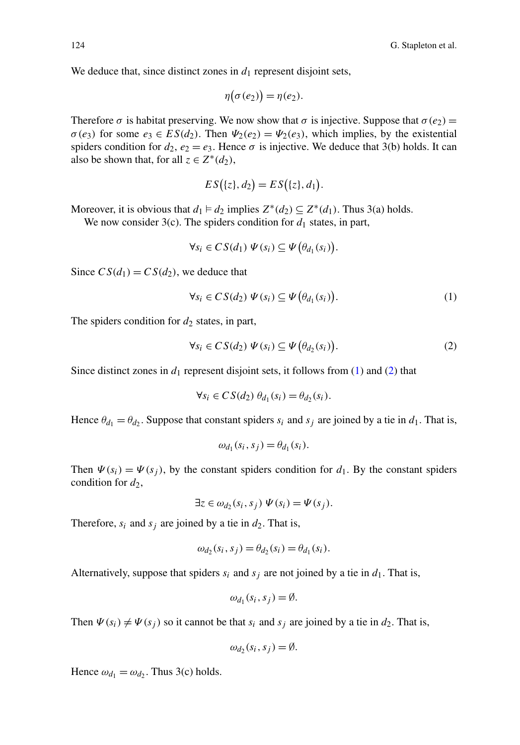We deduce that, since distinct zones in  $d_1$  represent disjoint sets,

$$
\eta(\sigma(e_2)) = \eta(e_2).
$$

Therefore  $\sigma$  is habitat preserving. We now show that  $\sigma$  is injective. Suppose that  $\sigma(e_2)$  =  $\sigma(e_3)$  for some  $e_3 \in ES(d_2)$ . Then  $\Psi_2(e_2) = \Psi_2(e_3)$ , which implies, by the existential spiders condition for  $d_2$ ,  $e_2 = e_3$ . Hence  $\sigma$  is injective. We deduce that 3(b) holds. It can also be shown that, for all  $z \in Z^*(d_2)$ ,

$$
ES({z}, d2) = ES({z}, d1).
$$

<span id="page-25-0"></span>Moreover, it is obvious that  $d_1 \models d_2$  implies  $Z^*(d_2) \subseteq Z^*(d_1)$ . Thus 3(a) holds.

We now consider 3(c). The spiders condition for  $d_1$  states, in part,

$$
\forall s_i \in CS(d_1) \ \Psi(s_i) \subseteq \Psi(\theta_{d_1}(s_i)).
$$

Since  $CS(d_1) = CS(d_2)$ , we deduce that

$$
\forall s_i \in CS(d_2) \ \Psi(s_i) \subseteq \Psi(\theta_{d_1}(s_i)). \tag{1}
$$

The spiders condition for  $d_2$  states, in part,

$$
\forall s_i \in CS(d_2) \ \Psi(s_i) \subseteq \Psi(\theta_{d_2}(s_i)). \tag{2}
$$

Since distinct zones in  $d_1$  represent disjoint sets, it follows from ([1\)](#page-23-0) and ([2\)](#page-23-1) that

$$
\forall s_i \in CS(d_2) \ \theta_{d_1}(s_i) = \theta_{d_2}(s_i).
$$

Hence  $\theta_{d_1} = \theta_{d_2}$ . Suppose that constant spiders  $s_i$  and  $s_j$  are joined by a tie in  $d_1$ . That is,

$$
\omega_{d_1}(s_i,s_j)=\theta_{d_1}(s_i).
$$

Then  $\Psi(s_i) = \Psi(s_i)$ , by the constant spiders condition for  $d_1$ . By the constant spiders condition for  $d_2$ ,

$$
\exists z \in \omega_{d_2}(s_i, s_j) \ \Psi(s_i) = \Psi(s_j).
$$

Therefore,  $s_i$  and  $s_j$  are joined by a tie in  $d_2$ . That is,

$$
\omega_{d_2}(s_i, s_j) = \theta_{d_2}(s_i) = \theta_{d_1}(s_i).
$$

Alternatively, suppose that spiders  $s_i$  and  $s_j$  are not joined by a tie in  $d_1$ . That is,

$$
\omega_{d_1}(s_i,s_j)=\emptyset.
$$

Then  $\Psi(s_i) \neq \Psi(s_j)$  so it cannot be that  $s_i$  and  $s_j$  are joined by a tie in  $d_2$ . That is,

$$
\omega_{d_2}(s_i, s_j) = \emptyset.
$$

Hence  $\omega_{d_1} = \omega_{d_2}$ . Thus 3(c) holds.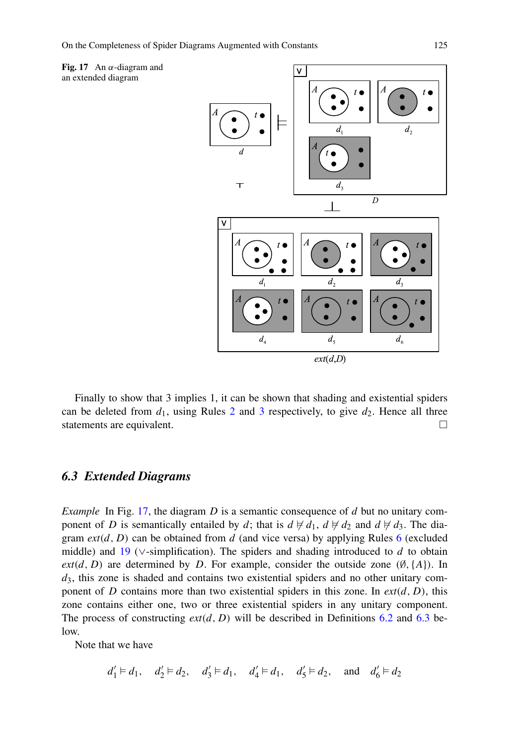<span id="page-26-0"></span>

Finally to show that 3 implies 1, it can be shown that shading and existential spiders can be deleted from  $d_1$ , using Rules [2](#page-9-2) and [3](#page-10-1) respectively, to give  $d_2$ . Hence all three statements are equivalent.

#### *6.3 Extended Diagrams*

<span id="page-26-1"></span>*Example* In Fig. [17](#page-24-0), the diagram D is a semantic consequence of d but no unitary component of D is semantically entailed by d; that is  $d \not\vdash d_1$ ,  $d \not\vdash d_2$  and  $d \not\vdash d_3$ . The diagram  $ext(d, D)$  can be obtained from d (and vice versa) by applying Rules [6](#page-12-2) (excluded middle) and [19](#page-17-2) (∨-simplification). The spiders and shading introduced to  $d$  to obtain  $ext(d, D)$  are determined by D. For example, consider the outside zone  $(\emptyset, \{A\})$ . In  $d_3$ , this zone is shaded and contains two existential spiders and no other unitary component of D contains more than two existential spiders in this zone. In  $ext(d, D)$ , this zone contains either one, two or three existential spiders in any unitary component. The process of constructing  $ext(d, D)$  will be described in Definitions [6.2](#page-25-0) and [6.3](#page-26-0) below.

Note that we have

 $d'_1 \vDash d_1$ ,  $d'_2 \vDash d_2$ ,  $d'_3 \vDash d_1$ ,  $d'_4 \vDash d_1$ ,  $d'_5 \vDash d_2$ , and  $d'_6 \vDash d_2$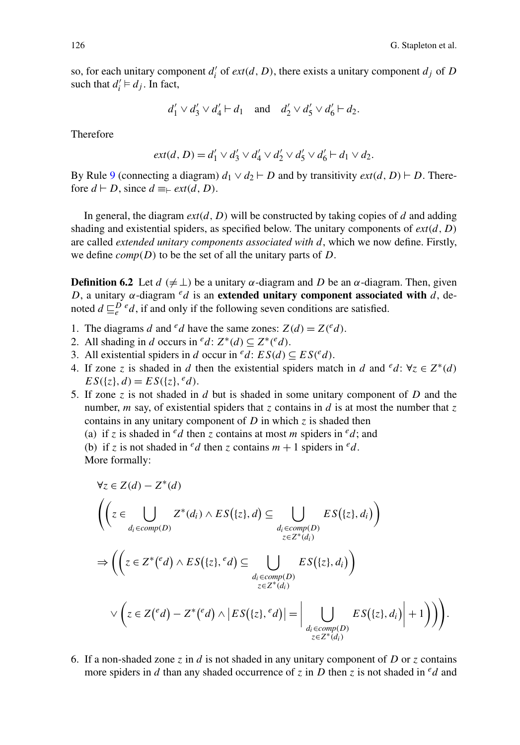so, for each unitary component  $d_i'$  of  $ext(d, D)$ , there exists a unitary component  $d_j$  of  $D$ such that  $d'_i \models d_j$ . In fact,

$$
d'_1 \vee d'_3 \vee d'_4 \vdash d_1
$$
 and  $d'_2 \vee d'_5 \vee d'_6 \vdash d_2$ .

Therefore

<span id="page-27-1"></span>
$$
ext(d, D) = d'_1 \vee d'_3 \vee d'_4 \vee d'_2 \vee d'_5 \vee d'_6 \vdash d_1 \vee d_2.
$$

By Rule [9](#page-16-1) (connecting a diagram)  $d_1 \vee d_2 \vdash D$  and by transitivity  $ext(d, D) \vdash D$ . Therefore  $d \vdash D$ , since  $d \equiv_{\vdash} ext(d, D)$ .

In general, the diagram  $ext(d, D)$  will be constructed by taking copies of d and adding shading and existential spiders, as specified below. The unitary components of  $ext(d, D)$ are called *extended unitary components associated with* d, which we now define. Firstly, we define  $comp(D)$  to be the set of all the unitary parts of  $D$ .

**Definition 6.2** Let  $d \neq \perp$  be a unitary  $\alpha$ -diagram and D be an  $\alpha$ -diagram. Then, given D, a unitary  $\alpha$ -diagram  $\ell d$  is an **extended unitary component associated with** d, denoted  $d \sqsubseteq_e^D^e d$ , if and only if the following seven conditions are satisfied.

- 1. The diagrams d and <sup>e</sup>d have the same zones:  $Z(d) = Z({}^e d)$ .
- 2. All shading in d occurs in  $^e d: Z^*(d) \subseteq Z^*(^e d)$ .
- 3. All existential spiders in d occur in  $ed$ :  $ES(d) \subseteq ES(^{e}d)$ .
- 4. If zone z is shaded in d then the existential spiders match in d and  $^e d$ :  $\forall z \in \mathbb{Z}^*(d)$  $ES({z}, d) = ES({z}, ^{e}d).$
- 5. If zone z is not shaded in d but is shaded in some unitary component of  $D$  and the number, m say, of existential spiders that z contains in d is at most the number that z contains in any unitary component of  $D$  in which  $\zeta$  is shaded then

(a) if z is shaded in  $\epsilon d$  then z contains at most m spiders in  $\epsilon d$ ; and

(b) if z is not shaded in  $ed$  then z contains  $m + 1$  spiders in  $ed$ .

More formally:

<span id="page-27-0"></span>
$$
\forall z \in Z(d) - Z^*(d)
$$
\n
$$
\left( \left( z \in \bigcup_{d_i \in comp(D)} Z^*(d_i) \land ES(\lbrace z \rbrace, d) \subseteq \bigcup_{d_i \in comp(D)} ES(\lbrace z \rbrace, d_i) \right) \right)
$$
\n
$$
\Rightarrow \left( \left( z \in Z^*(e_d) \land ES(\lbrace z \rbrace, e_d) \subseteq \bigcup_{d_i \in comp(D)} ES(\lbrace z \rbrace, d_i) \right) \right)
$$
\n
$$
\lor \left( z \in Z(e_d) - Z^*(e_d) \land \left| ES(\lbrace z \rbrace, e_d) \right| = \bigg| \bigcup_{d_i \in comp(D)} ES(\lbrace z \rbrace, d_i) \bigg| + 1 \right) \right) \right).
$$

6. If a non-shaded zone z in d is not shaded in any unitary component of D or z contains more spiders in d than any shaded occurrence of z in D then z is not shaded in  $\epsilon d$  and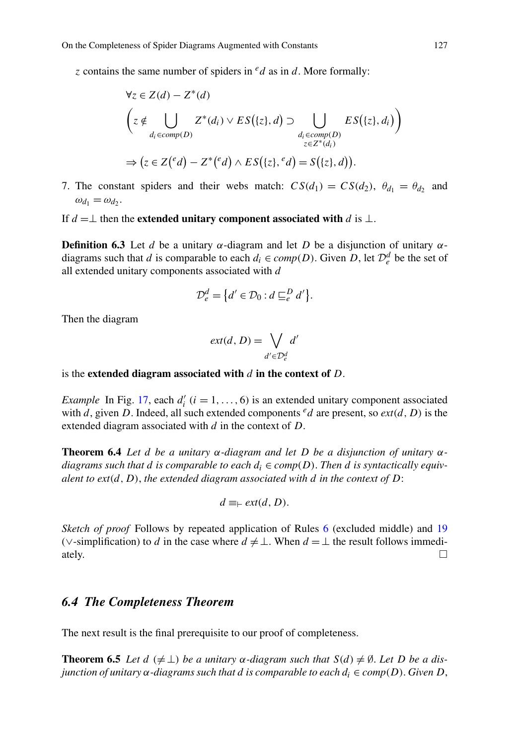z contains the same number of spiders in  $\ell d$  as in d. More formally:

<span id="page-28-0"></span>
$$
\forall z \in Z(d) - Z^*(d)
$$
  
\n
$$
\left(z \notin \bigcup_{d_i \in comp(D)} Z^*(d_i) \vee ES(\{z\}, d) \supset \bigcup_{\substack{d_i \in comp(D) \\ z \in Z^*(d_i)}} ES(\{z\}, d_i)\right)
$$
  
\n
$$
\Rightarrow \left(z \in Z(\mathcal{C}d) - Z^*(\mathcal{C}d) \wedge ES(\{z\}, \mathcal{C}d) = S(\{z\}, d)\right).
$$

7. The constant spiders and their webs match:  $CS(d_1) = CS(d_2)$ ,  $\theta_{d_1} = \theta_{d_2}$  and  $\omega_{d_1} = \omega_{d_2}$ .

If  $d = \perp$  then the **extended unitary component associated with** d is  $\perp$ .

**Definition 6.3** Let d be a unitary  $\alpha$ -diagram and let D be a disjunction of unitary  $\alpha$ diagrams such that d is comparable to each  $d_i \in comp(D)$ . Given D, let  $\mathcal{D}_e^d$  be the set of all extended unitary components associated with d

$$
\mathcal{D}_e^d = \left\{ d' \in \mathcal{D}_0 : d \sqsubseteq_e^D d' \right\}.
$$

Then the diagram

$$
ext(d, D) = \bigvee_{d' \in \mathcal{D}_e^d} d'
$$

is the **extended diagram associated with** d **in the context of** D.

*Example* In Fig. [17](#page-24-0), each  $d_i'$  ( $i = 1, ..., 6$ ) is an extended unitary component associated with d, given D. Indeed, all such extended components  $^e d$  are present, so  $ext(d, D)$  is the extended diagram associated with  $d$  in the context of  $D$ .

**Theorem 6.4** *Let* d *be a unitary* α*-diagram and let* D *be a disjunction of unitary* α*diagrams such that d is comparable to each*  $d_i \in comp(D)$ . *Then d is syntactically equivalent to ext*(d, D), *the extended diagram associated with* d *in the context of* D:

$$
d \equiv_{\vdash} ext(d, D).
$$

*Sketch of proof* Follows by repeated application of Rules [6](#page-12-2) (excluded middle) and [19](#page-17-2) ( $\vee$ -simplification) to d in the case where  $d \neq \perp$ . When  $d = \perp$  the result follows immediately.

#### *6.4 The Completeness Theorem*

The next result is the final prerequisite to our proof of completeness.

**Theorem 6.5** *Let*  $d \neq \bot$ *) be a unitary*  $\alpha$ *-diagram such that*  $S(d) \neq \emptyset$ *. Let D be a disjunction of unitary*  $\alpha$ *-diagrams such that d is comparable to each*  $d_i \in comp(D)$ . *Given* D,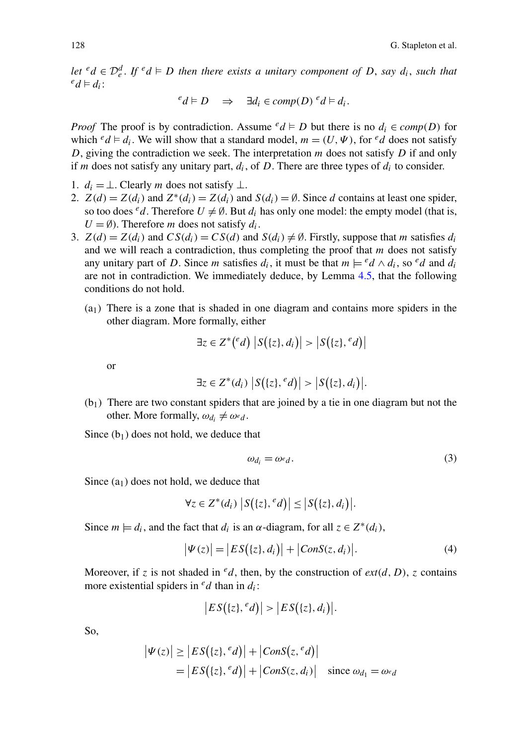*let*  $^e d \in \mathcal{D}_e^d$ . *If*  $^e d \models D$  *then there exists a unitary component of D*, *say*  $d_i$ , *such that*  $e_d \vDash d_i$ :

$$
{}^e d \models D \quad \Rightarrow \quad \exists d_i \in comp(D) \; {}^e d \models d_i.
$$

*Proof* The proof is by contradiction. Assume  $^e d \models D$  but there is no  $d_i \in comp(D)$  for which  $^e d \models d_i$ . We will show that a standard model,  $m = (U, \Psi)$ , for  $^e d$  does not satisfy D, giving the contradiction we seek. The interpretation  $m$  does not satisfy  $D$  if and only if m does not satisfy any unitary part,  $d_i$ , of D. There are three types of  $d_i$  to consider.

- 1.  $d_i = \perp$ . Clearly *m* does not satisfy  $\perp$ .
- 2.  $Z(d) = Z(d_i)$  and  $Z^*(d_i) = Z(d_i)$  and  $S(d_i) = \emptyset$ . Since d contains at least one spider, so too does  $ed$ . Therefore  $U \neq \emptyset$ . But  $d_i$  has only one model: the empty model (that is,  $U = \emptyset$ ). Therefore *m* does not satisfy  $d_i$ .
- 3.  $Z(d) = Z(d_i)$  and  $CS(d_i) = CS(d)$  and  $S(d_i) \neq \emptyset$ . Firstly, suppose that m satisfies  $d_i$ and we will reach a contradiction, thus completing the proof that  $m$  does not satisfy any unitary part of D. Since m satisfies  $d_i$ , it must be that  $m \models^e d \land d_i$ , so  $^e d$  and  $d_i$ are not in contradiction. We immediately deduce, by Lemma [4.5,](#page-15-1) that the following conditions do not hold.
	- $(a<sub>1</sub>)$  There is a zone that is shaded in one diagram and contains more spiders in the other diagram. More formally, either

$$
\exists z \in Z^*(^e d) |S(\lbrace z \rbrace, d_i)| > |S(\lbrace z \rbrace, ^e d)|
$$

or

$$
\exists z \in Z^*(d_i) \big| S(\lbrace z \rbrace, ^e d) \big| > \big| S(\lbrace z \rbrace, d_i) \big|.
$$

 $(b<sub>1</sub>)$  There are two constant spiders that are joined by a tie in one diagram but not the other. More formally,  $\omega_{d_i} \neq \omega_{d_i}$ .

Since  $(b_1)$  does not hold, we deduce that

$$
\omega_{d_i} = \omega_{d}.\tag{3}
$$

Since  $(a_1)$  does not hold, we deduce that

$$
\forall z \in Z^*(d_i) \left| S\big(\{z\},^{\,e}d\big) \right| \leq \left| S\big(\{z\},d_i\big) \right|.
$$

Since  $m \models d_i$ , and the fact that  $d_i$  is an  $\alpha$ -diagram, for all  $z \in \mathbb{Z}^*(d_i)$ ,

$$
\big|\Psi(z)\big| = \big|ES\big(\{z\}, d_i\big)\big| + \big|ConS(z, d_i)\big|.\tag{4}
$$

Moreover, if z is not shaded in  $\ell d$ , then, by the construction of  $ext(d, D)$ , z contains more existential spiders in  $ed$  than in  $d_i$ :

$$
|ES({z},ed)|>|ES({z},d_i)|.
$$

So,

$$
\begin{aligned} \left| \Psi(z) \right| &\geq \left| ES(\lbrace z \rbrace, ^e d) \right| + \left| Cons(z, ^e d) \right| \\ &= \left| ES(\lbrace z \rbrace, ^e d) \right| + \left| Cons(z, d_i) \right| \quad \text{since } \omega_{d_1} = \omega_{d_2} \end{aligned}
$$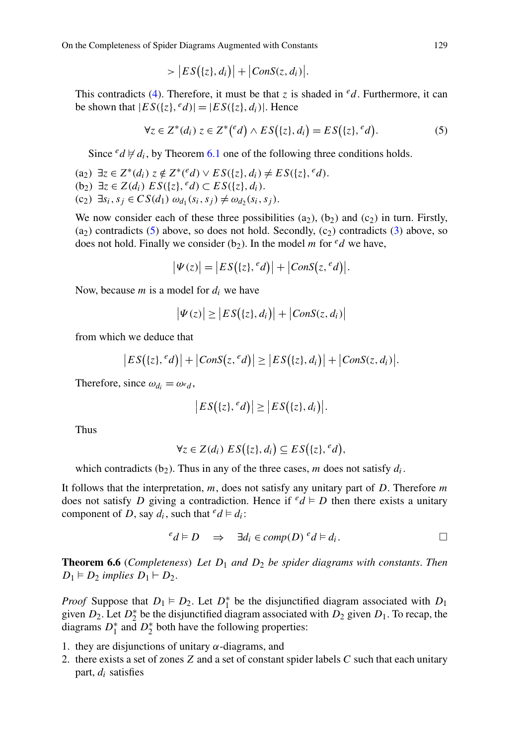On the Completeness of Spider Diagrams Augmented with Constants 129

$$
> |ES(\lbrace z \rbrace, d_i)| + |ConS(z, d_i)|.
$$

This contradicts ([4\)](#page-27-0). Therefore, it must be that z is shaded in  $\ell d$ . Furthermore, it can be shown that  $|ES({z},^e d)| = |ES({z}, d_i)|$ . Hence

$$
\forall z \in Z^*(d_i) \ z \in Z^*(^e d) \land ES(\lbrace z \rbrace, d_i) = ES(\lbrace z \rbrace, ^e d). \tag{5}
$$

Since  $\ell d \not\vdash d_i$ , by Theorem [6.1](#page-22-0) one of the following three conditions holds.

- $(a_2) \exists z \in Z^*(d_i) \ z \notin Z^*(^e d) \vee ES(\{z\}, d_i) \neq ES(\{z\}, {^e} d).$ (b<sub>2</sub>)  $\exists z \in Z(d_i)$   $ES({z},^e d)$  ⊂  $ES({z}, d_i)$ .
- (c<sub>2</sub>)  $\exists s_i, s_j \in CS(d_1) \omega_{d_1}(s_i, s_j) \neq \omega_{d_2}(s_i, s_j).$

We now consider each of these three possibilities  $(a_2)$ ,  $(b_2)$  and  $(c_2)$  in turn. Firstly,  $(a<sub>2</sub>)$  contradicts ([5\)](#page-28-0) above, so does not hold. Secondly,  $(c<sub>2</sub>)$  contradicts ([3\)](#page-27-1) above, so does not hold. Finally we consider (b<sub>2</sub>). In the model m for  $\ell d$  we have,

$$
|\Psi(z)| = |ES(\lbrace z \rbrace, ^e d)| + |Cons(z, ^e d)|.
$$

Now, because *m* is a model for  $d_i$  we have

$$
\big|\Psi(z)\big|\geq \big|ES\big(\{z\},d_i\big)\big|+\big|ConS(z,d_i)\big|
$$

from which we deduce that

$$
|ES({z},ed)|+|Cons(z,ed)| \geq |ES({z}, d_i)|+|Cons(z, d_i)|.
$$

Therefore, since  $\omega_{d_i} = \omega_{d_i}$ ,

$$
|ES({z},ed)| \geq |ES({z}, d_i)|.
$$

Thus

$$
\forall z \in Z(d_i) \ ES\big(\{z\}, d_i\big) \subseteq ES\big(\{z\},^e d\big),
$$

which contradicts  $(b_2)$ . Thus in any of the three cases, m does not satisfy  $d_i$ .

It follows that the interpretation,  $m$ , does not satisfy any unitary part of  $D$ . Therefore  $m$ does not satisfy D giving a contradiction. Hence if  $ed \models D$  then there exists a unitary component of D, say  $d_i$ , such that  $^e d \models d_i$ :

$$
{}^e d \models D \quad \Rightarrow \quad \exists d_i \in comp(D) \, {}^e d \models d_i. \qquad \Box
$$

<span id="page-30-0"></span>**Theorem 6.6** (*Completeness*) *Let*  $D_1$  *and*  $D_2$  *be spider diagrams with constants. Then*  $D_1 \models D_2$  *implies*  $D_1 \vdash D_2$ .

*Proof* Suppose that  $D_1 \models D_2$ . Let  $D_1^*$  be the disjunctified diagram associated with  $D_1$ given  $D_2$ . Let  $D_2^*$  be the disjunctified diagram associated with  $D_2$  given  $D_1$ . To recap, the diagrams  $D_1^*$  and  $D_2^*$  both have the following properties:

- 1. they are disjunctions of unitary  $\alpha$ -diagrams, and
- 2. there exists a set of zones  $Z$  and a set of constant spider labels  $C$  such that each unitary part,  $d_i$  satisfies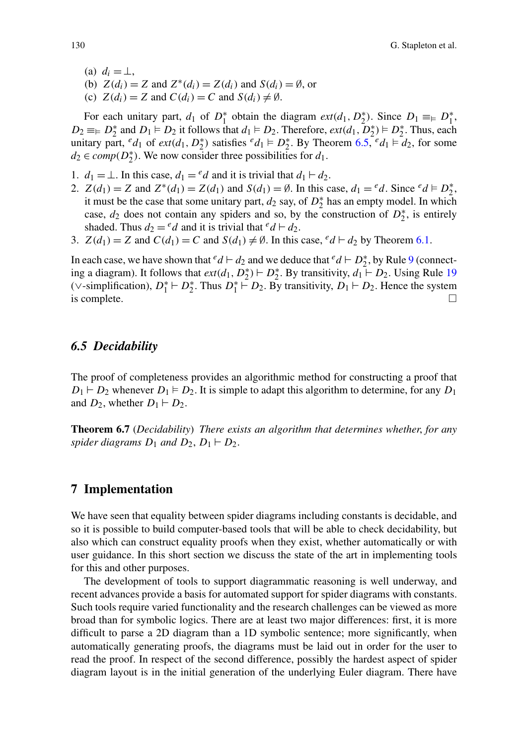- <span id="page-31-18"></span><span id="page-31-12"></span><span id="page-31-8"></span><span id="page-31-7"></span><span id="page-31-0"></span>(a)  $d_i = \perp$ ,
- (b)  $Z(d_i) = Z$  and  $Z^*(d_i) = Z(d_i)$  and  $S(d_i) = \emptyset$ , or
- (c)  $Z(d_i) = Z$  and  $C(d_i) = C$  and  $S(d_i) \neq \emptyset$ .

<span id="page-31-17"></span><span id="page-31-2"></span>For each unitary part,  $d_1$  of  $D_1^*$  obtain the diagram  $ext(d_1, D_2^*)$ . Since  $D_1 \equiv \n \in D_1^*$ ,  $D_2 \equiv E D_2^*$  and  $D_1 \vDash D_2$  it follows that  $d_1 \vDash D_2$ . Therefore,  $ext(d_1, D_2^*) \vDash D_2^*$ . Thus, each unitary part, <sup>e</sup> $d_1$  of  $ext(d_1, D_2^*)$  satisfies <sup>e</sup> $d_1 \vDash D_2^*$ . By Theorem [6.5,](#page-26-1) <sup>e</sup> $d_1 \vDash d_2$ , for some  $d_2 \in comp(D_2^*)$ . We now consider three possibilities for  $d_1$ .

- <span id="page-31-10"></span>1.  $d_1 = \perp$ . In this case,  $d_1 = {}^e d$  and it is trivial that  $d_1 \vdash d_2$ .
- <span id="page-31-11"></span>2.  $Z(d_1) = Z$  and  $Z^*(d_1) = Z(d_1)$  and  $S(d_1) = \emptyset$ . In this case,  $d_1 = {}^e d$ . Since  ${}^e d \models D_2^*$ , it must be the case that some unitary part,  $d_2$  say, of  $D_2^*$  has an empty model. In which case,  $d_2$  does not contain any spiders and so, by the construction of  $D_2^*$ , is entirely shaded. Thus  $d_2 = e^e$  and it is trivial that  $e^e$   $\theta \vdash d_2$ .
- <span id="page-31-6"></span>3.  $Z(d_1) = Z$  and  $C(d_1) = C$  and  $S(d_1) \neq \emptyset$ . In this case,  $e^d \vdash d_2$  by Theorem [6.1](#page-22-0).

<span id="page-31-21"></span><span id="page-31-19"></span><span id="page-31-3"></span>In each case, we have shown that  $^e d \vdash d_2$  and we deduce that  $^e d \vdash D_2^*$ , by Rule [9](#page-16-1) (connecting a diagram). It follows that  $ext(d_1, D_2^*) \vdash D_2^*$ . By transitivity,  $d_1 \vdash D_2$ . Using Rule [19](#page-17-2) (∨-simplification),  $D_1^* \vdash D_2^*$ . Thus  $D_1^* \vdash D_2$ . By transitivity,  $D_1 \vdash D_2$ . Hence the system is complete.  $\Box$ 

#### <span id="page-31-13"></span><span id="page-31-9"></span>*6.5 Decidability*

<span id="page-31-15"></span>The proof of completeness provides an algorithmic method for constructing a proof that  $D_1 \vdash D_2$  whenever  $D_1 \vDash D_2$ . It is simple to adapt this algorithm to determine, for any  $D_1$ and  $D_2$ , whether  $D_1 \vdash D_2$ .

<span id="page-31-22"></span><span id="page-31-14"></span>**Theorem 6.7** (*Decidability*) *There exists an algorithm that determines whether*, *for any spider diagrams*  $D_1$  *and*  $D_2$ ,  $D_1 \vdash D_2$ .

#### <span id="page-31-5"></span><span id="page-31-1"></span>**7 Implementation**

<span id="page-31-20"></span><span id="page-31-4"></span>We have seen that equality between spider diagrams including constants is decidable, and so it is possible to build computer-based tools that will be able to check decidability, but also which can construct equality proofs when they exist, whether automatically or with user guidance. In this short section we discuss the state of the art in implementing tools for this and other purposes.

<span id="page-31-16"></span>The development of tools to support diagrammatic reasoning is well underway, and recent advances provide a basis for automated support for spider diagrams with constants. Such tools require varied functionality and the research challenges can be viewed as more broad than for symbolic logics. There are at least two major differences: first, it is more difficult to parse a 2D diagram than a 1D symbolic sentence; more significantly, when automatically generating proofs, the diagrams must be laid out in order for the user to read the proof. In respect of the second difference, possibly the hardest aspect of spider diagram layout is in the initial generation of the underlying Euler diagram. There have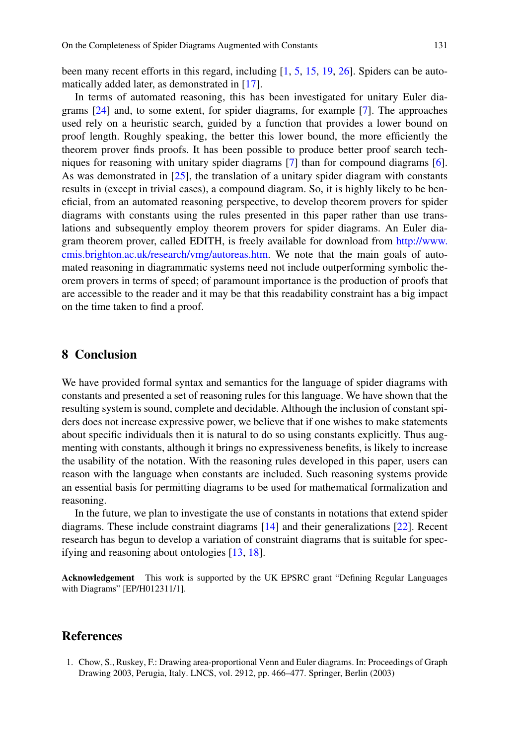<span id="page-32-3"></span><span id="page-32-2"></span><span id="page-32-1"></span><span id="page-32-0"></span>been many recent efforts in this regard, including [\[1](#page-30-0), [5](#page-31-12), [15](#page-31-13), [19,](#page-31-14) [26\]](#page-32-3). Spiders can be automatically added later, as demonstrated in [\[17](#page-31-15)].

In terms of automated reasoning, this has been investigated for unitary Euler diagrams [[24\]](#page-31-16) and, to some extent, for spider diagrams, for example [[7\]](#page-31-17). The approaches used rely on a heuristic search, guided by a function that provides a lower bound on proof length. Roughly speaking, the better this lower bound, the more efficiently the theorem prover finds proofs. It has been possible to produce better proof search techniques for reasoning with unitary spider diagrams [\[7](#page-31-17)] than for compound diagrams [\[6](#page-31-18)]. As was demonstrated in [\[25](#page-32-1)], the translation of a unitary spider diagram with constants results in (except in trivial cases), a compound diagram. So, it is highly likely to be beneficial, from an automated reasoning perspective, to develop theorem provers for spider diagrams with constants using the rules presented in this paper rather than use translations and subsequently employ theorem provers for spider diagrams. An Euler diagram theorem prover, called EDITH, is freely available for download from [http://www.](http://www.cmis.brighton.ac.uk/research/vmg/autoreas.htm) [cmis.brighton.ac.uk/research/vmg/autoreas.htm.](http://www.cmis.brighton.ac.uk/research/vmg/autoreas.htm) We note that the main goals of automated reasoning in diagrammatic systems need not include outperforming symbolic theorem provers in terms of speed; of paramount importance is the production of proofs that are accessible to the reader and it may be that this readability constraint has a big impact on the time taken to find a proof.

#### **8 Conclusion**

We have provided formal syntax and semantics for the language of spider diagrams with constants and presented a set of reasoning rules for this language. We have shown that the resulting system is sound, complete and decidable. Although the inclusion of constant spiders does not increase expressive power, we believe that if one wishes to make statements about specific individuals then it is natural to do so using constants explicitly. Thus augmenting with constants, although it brings no expressiveness benefits, is likely to increase the usability of the notation. With the reasoning rules developed in this paper, users can reason with the language when constants are included. Such reasoning systems provide an essential basis for permitting diagrams to be used for mathematical formalization and reasoning.

In the future, we plan to investigate the use of constants in notations that extend spider diagrams. These include constraint diagrams [[14\]](#page-31-19) and their generalizations [[22\]](#page-31-20). Recent research has begun to develop a variation of constraint diagrams that is suitable for specifying and reasoning about ontologies [\[13](#page-31-21), [18\]](#page-31-22).

**Acknowledgement** This work is supported by the UK EPSRC grant "Defining Regular Languages with Diagrams" [EP/H012311/1].

#### **References**

1. Chow, S., Ruskey, F.: Drawing area-proportional Venn and Euler diagrams. In: Proceedings of Graph Drawing 2003, Perugia, Italy. LNCS, vol. 2912, pp. 466–477. Springer, Berlin (2003)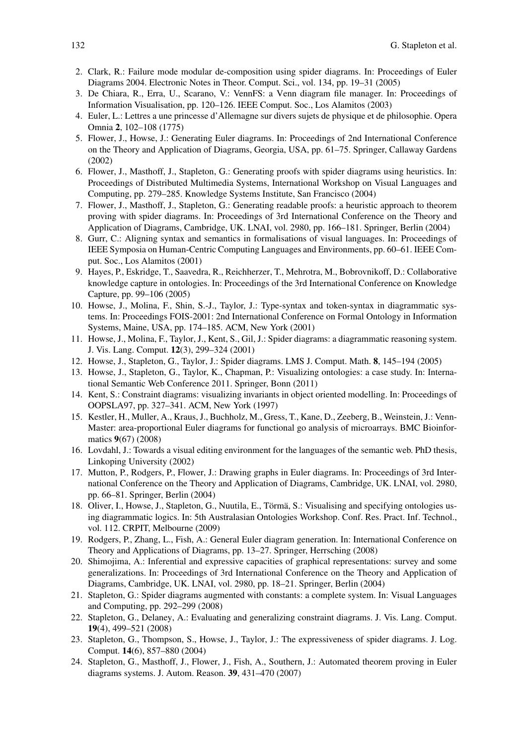- 2. Clark, R.: Failure mode modular de-composition using spider diagrams. In: Proceedings of Euler Diagrams 2004. Electronic Notes in Theor. Comput. Sci., vol. 134, pp. 19–31 (2005)
- 3. De Chiara, R., Erra, U., Scarano, V.: VennFS: a Venn diagram file manager. In: Proceedings of Information Visualisation, pp. 120–126. IEEE Comput. Soc., Los Alamitos (2003)
- 4. Euler, L.: Lettres a une princesse d'Allemagne sur divers sujets de physique et de philosophie. Opera Omnia **2**, 102–108 (1775)
- 5. Flower, J., Howse, J.: Generating Euler diagrams. In: Proceedings of 2nd International Conference on the Theory and Application of Diagrams, Georgia, USA, pp. 61–75. Springer, Callaway Gardens (2002)
- 6. Flower, J., Masthoff, J., Stapleton, G.: Generating proofs with spider diagrams using heuristics. In: Proceedings of Distributed Multimedia Systems, International Workshop on Visual Languages and Computing, pp. 279–285. Knowledge Systems Institute, San Francisco (2004)
- 7. Flower, J., Masthoff, J., Stapleton, G.: Generating readable proofs: a heuristic approach to theorem proving with spider diagrams. In: Proceedings of 3rd International Conference on the Theory and Application of Diagrams, Cambridge, UK. LNAI, vol. 2980, pp. 166–181. Springer, Berlin (2004)
- 8. Gurr, C.: Aligning syntax and semantics in formalisations of visual languages. In: Proceedings of IEEE Symposia on Human-Centric Computing Languages and Environments, pp. 60–61. IEEE Comput. Soc., Los Alamitos (2001)
- 9. Hayes, P., Eskridge, T., Saavedra, R., Reichherzer, T., Mehrotra, M., Bobrovnikoff, D.: Collaborative knowledge capture in ontologies. In: Proceedings of the 3rd International Conference on Knowledge Capture, pp. 99–106 (2005)
- 10. Howse, J., Molina, F., Shin, S.-J., Taylor, J.: Type-syntax and token-syntax in diagrammatic systems. In: Proceedings FOIS-2001: 2nd International Conference on Formal Ontology in Information Systems, Maine, USA, pp. 174–185. ACM, New York (2001)
- 11. Howse, J., Molina, F., Taylor, J., Kent, S., Gil, J.: Spider diagrams: a diagrammatic reasoning system. J. Vis. Lang. Comput. **12**(3), 299–324 (2001)
- 12. Howse, J., Stapleton, G., Taylor, J.: Spider diagrams. LMS J. Comput. Math. **8**, 145–194 (2005)
- 13. Howse, J., Stapleton, G., Taylor, K., Chapman, P.: Visualizing ontologies: a case study. In: International Semantic Web Conference 2011. Springer, Bonn (2011)
- 14. Kent, S.: Constraint diagrams: visualizing invariants in object oriented modelling. In: Proceedings of OOPSLA97, pp. 327–341. ACM, New York (1997)
- 15. Kestler, H., Muller, A., Kraus, J., Buchholz, M., Gress, T., Kane, D., Zeeberg, B., Weinstein, J.: Venn-Master: area-proportional Euler diagrams for functional go analysis of microarrays. BMC Bioinformatics **9**(67) (2008)
- 16. Lovdahl, J.: Towards a visual editing environment for the languages of the semantic web. PhD thesis, Linkoping University (2002)
- 17. Mutton, P., Rodgers, P., Flower, J.: Drawing graphs in Euler diagrams. In: Proceedings of 3rd International Conference on the Theory and Application of Diagrams, Cambridge, UK. LNAI, vol. 2980, pp. 66–81. Springer, Berlin (2004)
- 18. Oliver, I., Howse, J., Stapleton, G., Nuutila, E., Törmä, S.: Visualising and specifying ontologies using diagrammatic logics. In: 5th Australasian Ontologies Workshop. Conf. Res. Pract. Inf. Technol., vol. 112. CRPIT, Melbourne (2009)
- 19. Rodgers, P., Zhang, L., Fish, A.: General Euler diagram generation. In: International Conference on Theory and Applications of Diagrams, pp. 13–27. Springer, Herrsching (2008)
- 20. Shimojima, A.: Inferential and expressive capacities of graphical representations: survey and some generalizations. In: Proceedings of 3rd International Conference on the Theory and Application of Diagrams, Cambridge, UK. LNAI, vol. 2980, pp. 18–21. Springer, Berlin (2004)
- 21. Stapleton, G.: Spider diagrams augmented with constants: a complete system. In: Visual Languages and Computing, pp. 292–299 (2008)
- 22. Stapleton, G., Delaney, A.: Evaluating and generalizing constraint diagrams. J. Vis. Lang. Comput. **19**(4), 499–521 (2008)
- 23. Stapleton, G., Thompson, S., Howse, J., Taylor, J.: The expressiveness of spider diagrams. J. Log. Comput. **14**(6), 857–880 (2004)
- 24. Stapleton, G., Masthoff, J., Flower, J., Fish, A., Southern, J.: Automated theorem proving in Euler diagrams systems. J. Autom. Reason. **39**, 431–470 (2007)